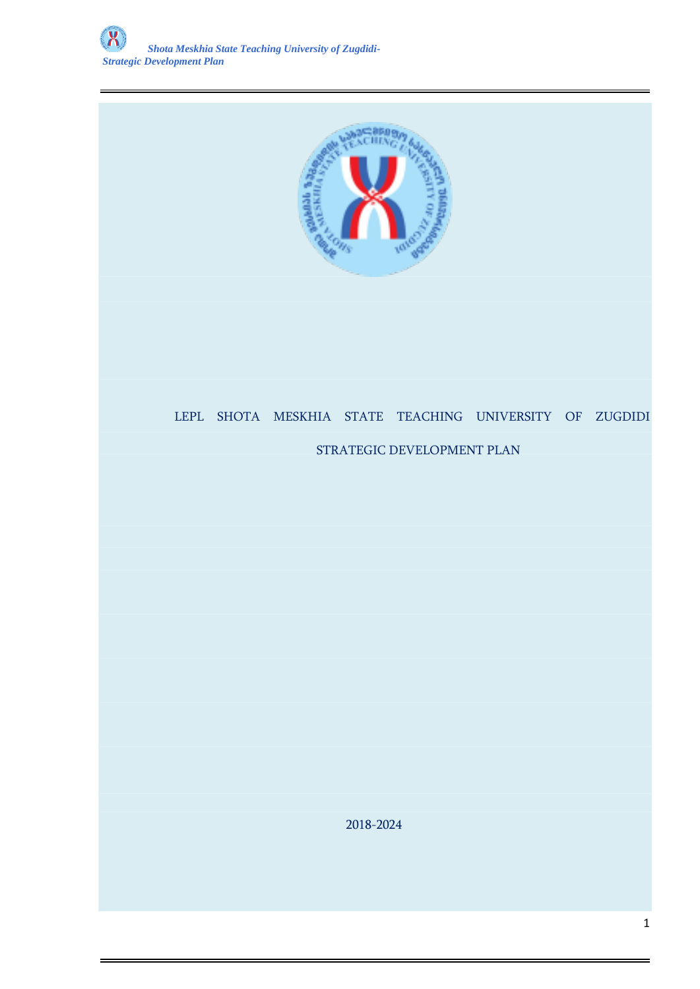

# LEPL SHOTA MESKHIA STATE TEACHING UNIVERSITY OF ZUGDIDI

### STRATEGIC DEVELOPMENT PLAN

2018-2024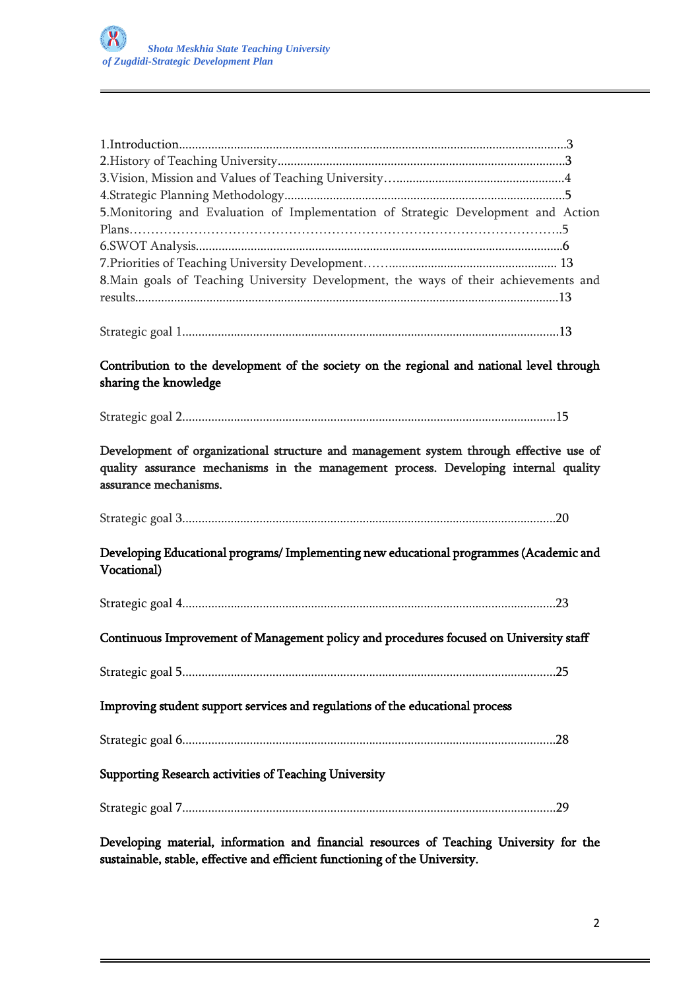| 5. Monitoring and Evaluation of Implementation of Strategic Development and Action   |  |
|--------------------------------------------------------------------------------------|--|
|                                                                                      |  |
|                                                                                      |  |
|                                                                                      |  |
| 8. Main goals of Teaching University Development, the ways of their achievements and |  |
|                                                                                      |  |
|                                                                                      |  |
|                                                                                      |  |

Strategic goal 1.....................................................................................................................13

Contribution to the development of the society on the regional and national level through sharing the knowledge

Strategic goal 2....................................................................................................................15

Development of organizational structure and management system through effective use of quality assurance mechanisms in the management process. Developing internal quality assurance mechanisms.

Strategic goal 3....................................................................................................................20

Developing Educational programs/ Implementing new educational programmes (Academic and Vocational)

Strategic goal 4....................................................................................................................23

Continuous Improvement of Management policy and procedures focused on University staff

Strategic goal 5....................................................................................................................25

Improving student support services and regulations of the educational process

Strategic goal 6....................................................................................................................28

Supporting Research activities of Teaching University

Strategic goal 7....................................................................................................................29

Developing material, information and financial resources of Teaching University for the sustainable, stable, effective and efficient functioning of the University.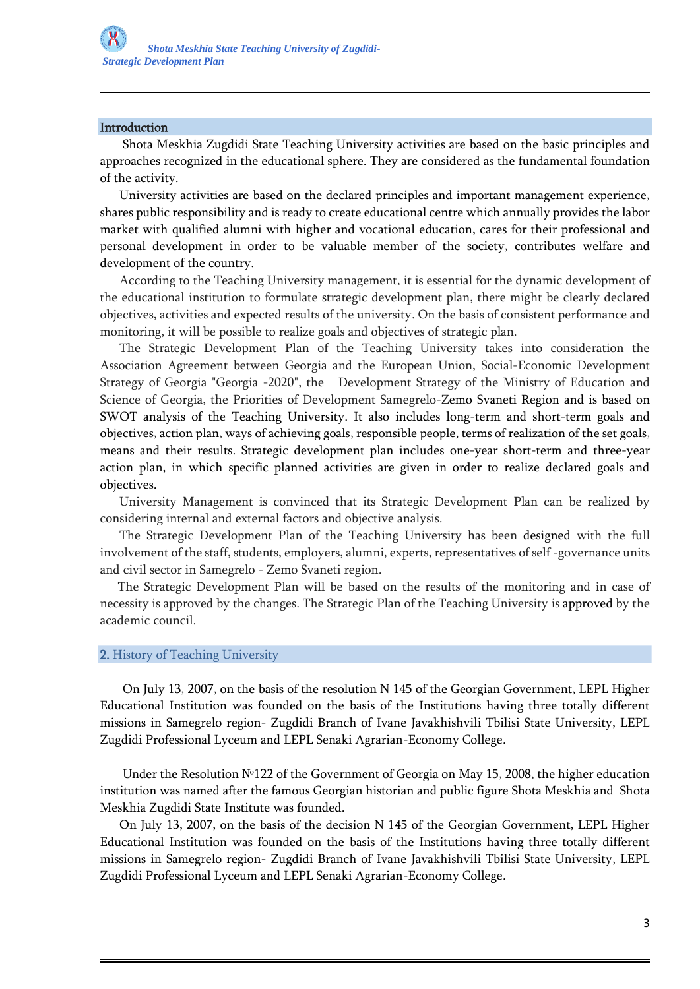#### Introduction

 Shota Meskhia Zugdidi State Teaching University activities are based on the basic principles and approaches recognized in the educational sphere. They are considered as the fundamental foundation of the activity.

 University activities are based on the declared principles and important management experience, shares public responsibility and is ready to create educational centre which annually provides the labor market with qualified alumni with higher and vocational education, cares for their professional and personal development in order to be valuable member of the society, contributes welfare and development of the country.

 According to the Teaching University management, it is essential for the dynamic development of the educational institution to formulate strategic development plan, there might be clearly declared objectives, activities and expected results of the university. On the basis of consistent performance and monitoring, it will be possible to realize goals and objectives of strategic plan.

 The Strategic Development Plan of the Teaching University takes into consideration the Association Agreement between Georgia and the European Union, Social-Economic Development Strategy of Georgia "Georgia -2020", the Development Strategy of the Ministry of Education and Science of Georgia, the Priorities of Development Samegrelo-Zemo Svaneti Region and is based on SWOT analysis of the Teaching University. It also includes long-term and short-term goals and objectives, action plan, ways of achieving goals, responsible people, terms of realization of the set goals, means and their results. Strategic development plan includes one-year short-term and three-year action plan, in which specific planned activities are given in order to realize declared goals and objectives.

 University Management is convinced that its Strategic Development Plan can be realized by considering internal and external factors and objective analysis.

 The Strategic Development Plan of the Teaching University has been designed with the full involvement of the staff, students, employers, alumni, experts, representatives of self -governance units and civil sector in Samegrelo - Zemo Svaneti region.

 The Strategic Development Plan will be based on the results of the monitoring and in case of necessity is approved by the changes. The Strategic Plan of the Teaching University is approved by the academic council.

#### 2. History of Teaching University

 On July 13, 2007, on the basis of the resolution N 145 of the Georgian Government, LEPL Higher Educational Institution was founded on the basis of the Institutions having three totally different missions in Samegrelo region- Zugdidi Branch of Ivane Javakhishvili Tbilisi State University, LEPL Zugdidi Professional Lyceum and LEPL Senaki Agrarian-Economy College.

 Under the Resolution №122 of the Government of Georgia on May 15, 2008, the higher education institution was named after the famous Georgian historian and public figure Shota Meskhia and Shota Meskhia Zugdidi State Institute was founded.

 On July 13, 2007, on the basis of the decision N 145 of the Georgian Government, LEPL Higher Educational Institution was founded on the basis of the Institutions having three totally different missions in Samegrelo region- Zugdidi Branch of Ivane Javakhishvili Tbilisi State University, LEPL Zugdidi Professional Lyceum and LEPL Senaki Agrarian-Economy College.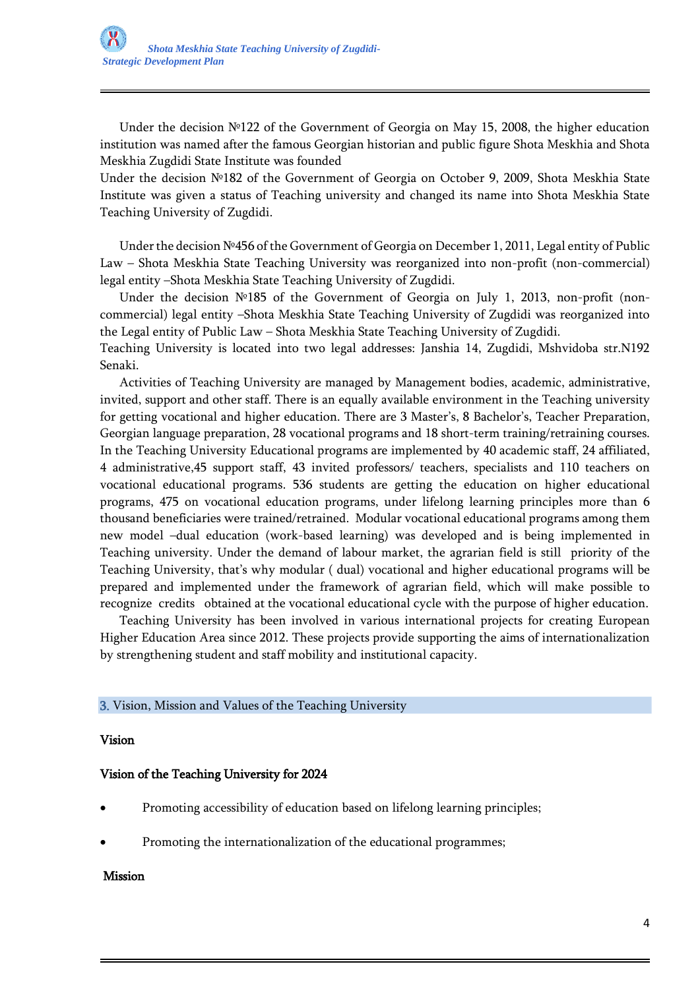Under the decision №122 of the Government of Georgia on May 15, 2008, the higher education institution was named after the famous Georgian historian and public figure Shota Meskhia and Shota Meskhia Zugdidi State Institute was founded

Under the decision №182 of the Government of Georgia on October 9, 2009, Shota Meskhia State Institute was given a status of Teaching university and changed its name into Shota Meskhia State Teaching University of Zugdidi.

 Under the decision №456 of the Government of Georgia on December 1, 2011, Legal entity of Public Law – Shota Meskhia State Teaching University was reorganized into non-profit (non-commercial) legal entity –Shota Meskhia State Teaching University of Zugdidi.

 Under the decision №185 of the Government of Georgia on July 1, 2013, non-profit (noncommercial) legal entity –Shota Meskhia State Teaching University of Zugdidi was reorganized into the Legal entity of Public Law – Shota Meskhia State Teaching University of Zugdidi.

Teaching University is located into two legal addresses: Janshia 14, Zugdidi, Mshvidoba str.N192 Senaki.

 Activities of Teaching University are managed by Management bodies, academic, administrative, invited, support and other staff. There is an equally available environment in the Teaching university for getting vocational and higher education. There are 3 Master's, 8 Bachelor's, Teacher Preparation, Georgian language preparation, 28 vocational programs and 18 short-term training/retraining courses. In the Teaching University Educational programs are implemented by 40 academic staff, 24 affiliated, 4 administrative,45 support staff, 43 invited professors/ teachers, specialists and 110 teachers on vocational educational programs. 536 students are getting the education on higher educational programs, 475 on vocational education programs, under lifelong learning principles more than 6 thousand beneficiaries were trained/retrained. Modular vocational educational programs among them new model –dual education (work-based learning) was developed and is being implemented in Teaching university. Under the demand of labour market, the agrarian field is still priority of the Teaching University, that's why modular ( dual) vocational and higher educational programs will be prepared and implemented under the framework of agrarian field, which will make possible to recognize credits obtained at the vocational educational cycle with the purpose of higher education.

 Teaching University has been involved in various international projects for creating European Higher Education Area since 2012. These projects provide supporting the aims of internationalization by strengthening student and staff mobility and institutional capacity.

### 3. Vision, Mission and Values of the Teaching University

#### Vision

### Vision of the Teaching University for 2024

- Promoting accessibility of education based on lifelong learning principles;
- Promoting the internationalization of the educational programmes;

#### Mission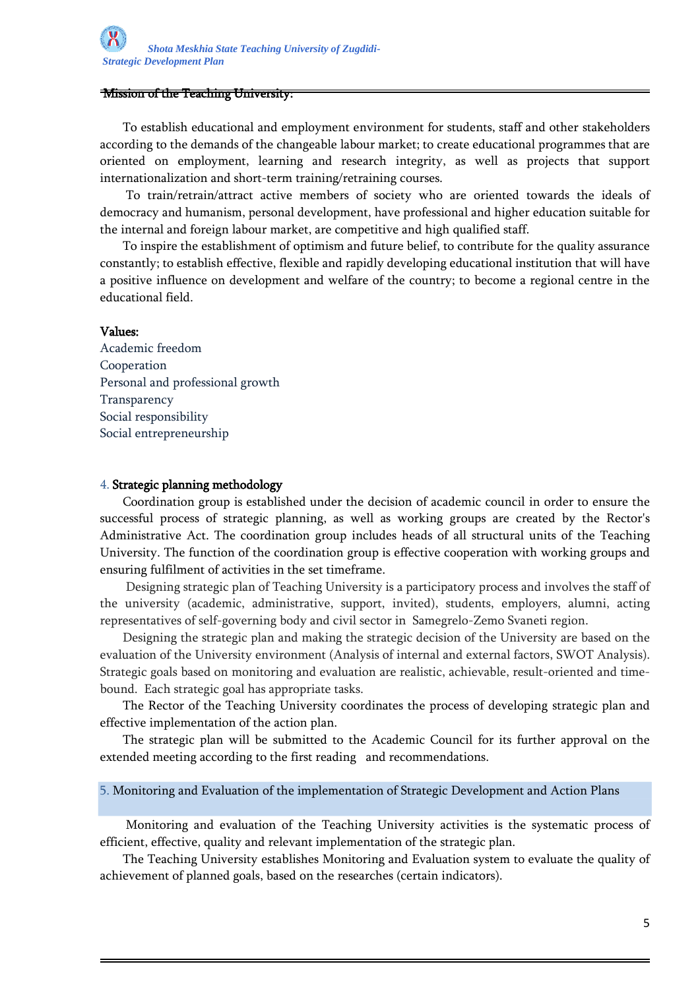#### Mission of the Teaching University:

 To establish educational and employment environment for students, staff and other stakeholders according to the demands of the changeable labour market; to create educational programmes that are oriented on employment, learning and research integrity, as well as projects that support internationalization and short-term training/retraining courses.

 To train/retrain/attract active members of society who are oriented towards the ideals of democracy and humanism, personal development, have professional and higher education suitable for the internal and foreign labour market, are competitive and high qualified staff.

 To inspire the establishment of optimism and future belief, to contribute for the quality assurance constantly; to establish effective, flexible and rapidly developing educational institution that will have a positive influence on development and welfare of the country; to become a regional centre in the educational field.

#### Values:

Academic freedom Cooperation Personal and professional growth Transparency Social responsibility Social entrepreneurship

#### 4. Strategic planning methodology

 Coordination group is established under the decision of academic council in order to ensure the successful process of strategic planning, as well as working groups are created by the Rector's Administrative Act. The coordination group includes heads of all structural units of the Teaching University. The function of the coordination group is effective cooperation with working groups and ensuring fulfilment of activities in the set timeframe.

 Designing strategic plan of Teaching University is a participatory process and involves the staff of the university (academic, administrative, support, invited), students, employers, alumni, acting representatives of self-governing body and civil sector in Samegrelo-Zemo Svaneti region.

 Designing the strategic plan and making the strategic decision of the University are based on the evaluation of the University environment (Analysis of internal and external factors, SWOT Analysis). Strategic goals based on monitoring and evaluation are realistic, achievable, result-oriented and timebound. Each strategic goal has appropriate tasks.

 The Rector of the Teaching University coordinates the process of developing strategic plan and effective implementation of the action plan.

 The strategic plan will be submitted to the Academic Council for its further approval on the extended meeting according to the first reading and recommendations.

5. Monitoring and Evaluation of the implementation of Strategic Development and Action Plans

 Monitoring and evaluation of the Teaching University activities is the systematic process of efficient, effective, quality and relevant implementation of the strategic plan.

 The Teaching University establishes Monitoring and Evaluation system to evaluate the quality of achievement of planned goals, based on the researches (certain indicators).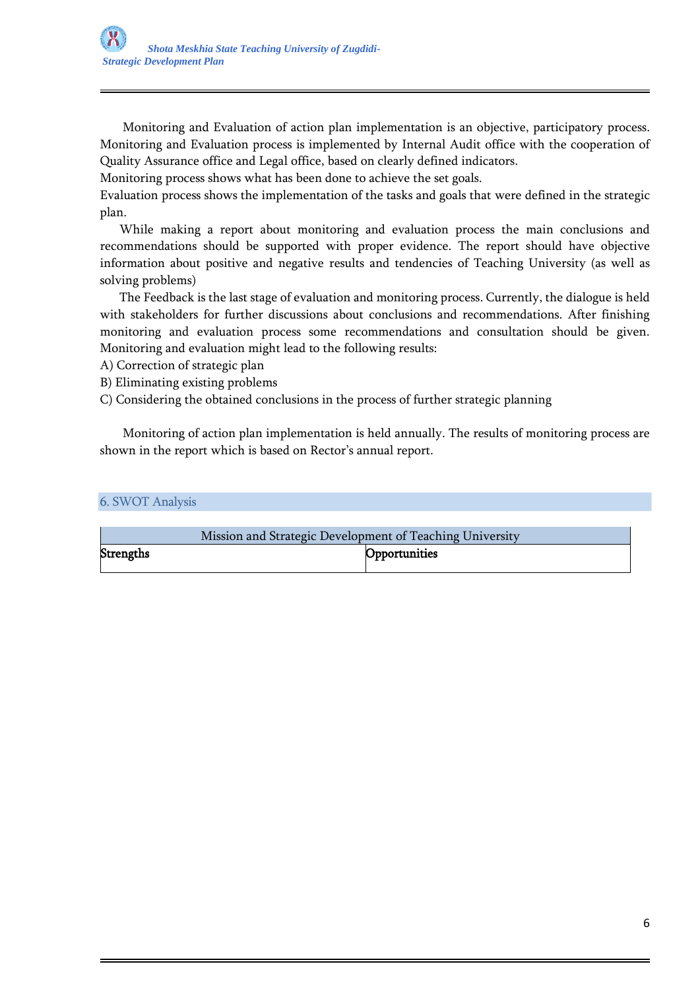Monitoring and Evaluation of action plan implementation is an objective, participatory process. Monitoring and Evaluation process is implemented by Internal Audit office with the cooperation of Quality Assurance office and Legal office, based on clearly defined indicators.

Monitoring process shows what has been done to achieve the set goals.

Evaluation process shows the implementation of the tasks and goals that were defined in the strategic plan.

 While making a report about monitoring and evaluation process the main conclusions and recommendations should be supported with proper evidence. The report should have objective information about positive and negative results and tendencies of Teaching University (as well as solving problems)

 The Feedback is the last stage of evaluation and monitoring process. Currently, the dialogue is held with stakeholders for further discussions about conclusions and recommendations. After finishing monitoring and evaluation process some recommendations and consultation should be given. Monitoring and evaluation might lead to the following results:

- A) Correction of strategic plan
- B) Eliminating existing problems
- C) Considering the obtained conclusions in the process of further strategic planning

 Monitoring of action plan implementation is held annually. The results of monitoring process are shown in the report which is based on Rector's annual report.

#### 6. SWOT Analysis

|                  | Mission and Strategic Development of Teaching University |               |
|------------------|----------------------------------------------------------|---------------|
| <b>Strengths</b> |                                                          | Opportunities |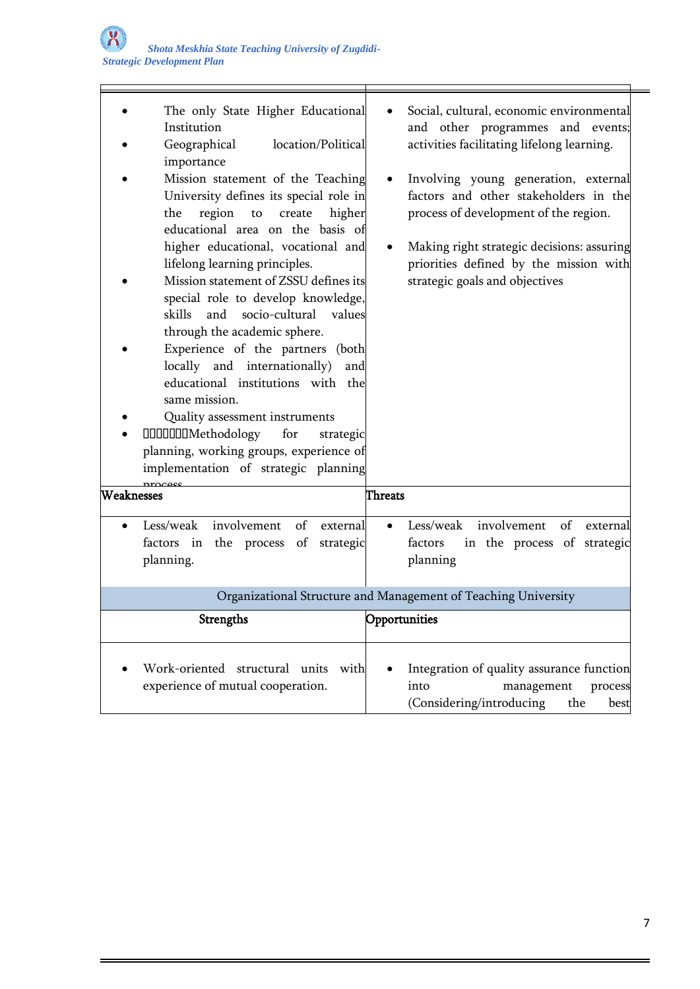| The only State Higher Educational<br>Institution<br>Geographical<br>location/Political<br>importance<br>Mission statement of the Teaching<br>University defines its special role in<br>region<br>the<br>create<br>higher<br>${\sf to}$<br>educational area on the basis of<br>higher educational, vocational and<br>lifelong learning principles.<br>Mission statement of ZSSU defines its<br>special role to develop knowledge,<br>skills and socio-cultural values<br>through the academic sphere.<br>Experience of the partners (both<br>locally and internationally)<br>and<br>educational institutions with the<br>same mission.<br>Quality assessment instruments<br><b>IIIIIIIIII</b> Methodology<br>for<br>strategic<br>planning, working groups, experience of<br>implementation of strategic planning | Social, cultural, economic environmental<br>and other programmes and events;<br>activities facilitating lifelong learning.<br>Involving young generation, external<br>factors and other stakeholders in the<br>process of development of the region.<br>Making right strategic decisions: assuring<br>priorities defined by the mission with<br>strategic goals and objectives |
|-----------------------------------------------------------------------------------------------------------------------------------------------------------------------------------------------------------------------------------------------------------------------------------------------------------------------------------------------------------------------------------------------------------------------------------------------------------------------------------------------------------------------------------------------------------------------------------------------------------------------------------------------------------------------------------------------------------------------------------------------------------------------------------------------------------------|--------------------------------------------------------------------------------------------------------------------------------------------------------------------------------------------------------------------------------------------------------------------------------------------------------------------------------------------------------------------------------|
| Weaknesses                                                                                                                                                                                                                                                                                                                                                                                                                                                                                                                                                                                                                                                                                                                                                                                                      | <b>Threats</b>                                                                                                                                                                                                                                                                                                                                                                 |
| of<br>Less/weak involvement<br>external<br>factors in the process of<br>strategic<br>planning.                                                                                                                                                                                                                                                                                                                                                                                                                                                                                                                                                                                                                                                                                                                  | involvement<br>Less/weak<br>of<br>external<br>factors<br>in the process of strategic<br>planning                                                                                                                                                                                                                                                                               |
|                                                                                                                                                                                                                                                                                                                                                                                                                                                                                                                                                                                                                                                                                                                                                                                                                 | Organizational Structure and Management of Teaching University                                                                                                                                                                                                                                                                                                                 |
| Strengths                                                                                                                                                                                                                                                                                                                                                                                                                                                                                                                                                                                                                                                                                                                                                                                                       | Opportunities                                                                                                                                                                                                                                                                                                                                                                  |
| Work-oriented structural units<br>with<br>experience of mutual cooperation.                                                                                                                                                                                                                                                                                                                                                                                                                                                                                                                                                                                                                                                                                                                                     | Integration of quality assurance function<br>into<br>management<br>process<br>(Considering/introducing<br>the<br>best                                                                                                                                                                                                                                                          |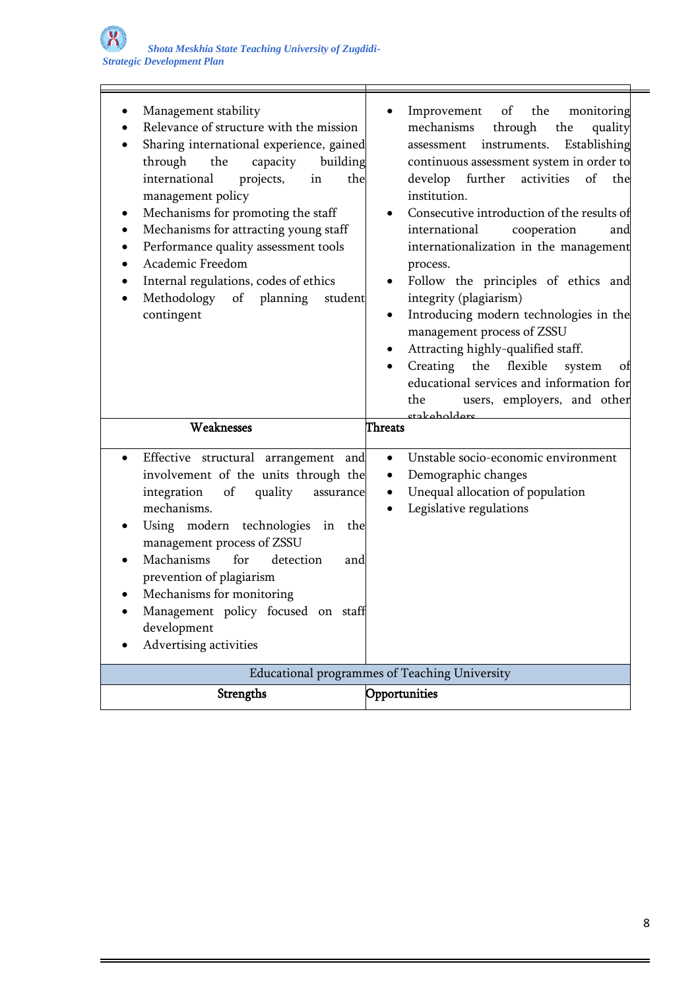| Management stability<br>Relevance of structure with the mission<br>Sharing international experience, gained<br>through<br>building<br>the<br>capacity<br>international<br>projects,<br>in<br>the<br>management policy<br>Mechanisms for promoting the staff<br>Mechanisms for attracting young staff<br>Performance quality assessment tools<br>Academic Freedom<br>Internal regulations, codes of ethics<br>Methodology of<br>planning<br>student<br>contingent | of<br>the<br>monitoring<br>Improvement<br>through<br>mechanisms<br>quality<br>the<br>instruments.<br>Establishing<br>assessment<br>continuous assessment system in order to<br>develop<br>further<br>activities<br>of<br>the<br>institution.<br>Consecutive introduction of the results of<br>international<br>cooperation<br>and<br>internationalization in the management<br>process.<br>Follow the principles of ethics and<br>integrity (plagiarism)<br>Introducing modern technologies in the<br>٠<br>management process of ZSSU<br>Attracting highly-qualified staff.<br>Creating<br>flexible<br>the<br>system<br>οf<br>$\bullet$<br>educational services and information for<br>users, employers, and other<br>the |
|------------------------------------------------------------------------------------------------------------------------------------------------------------------------------------------------------------------------------------------------------------------------------------------------------------------------------------------------------------------------------------------------------------------------------------------------------------------|---------------------------------------------------------------------------------------------------------------------------------------------------------------------------------------------------------------------------------------------------------------------------------------------------------------------------------------------------------------------------------------------------------------------------------------------------------------------------------------------------------------------------------------------------------------------------------------------------------------------------------------------------------------------------------------------------------------------------|
| Weaknesses                                                                                                                                                                                                                                                                                                                                                                                                                                                       | etakoholdere<br><b>Threats</b>                                                                                                                                                                                                                                                                                                                                                                                                                                                                                                                                                                                                                                                                                            |
| Effective structural arrangement and<br>involvement of the units through the<br>integration<br>of<br>quality<br>assurance<br>mechanisms.<br>Using modern technologies<br>in<br>the<br>management process of ZSSU<br>Machanisms<br>detection<br>for<br>and<br>prevention of plagiarism<br>Mechanisms for monitoring<br>Management policy focused on staff<br>development<br>Advertising activities                                                                | Unstable socio-economic environment<br>٠<br>Demographic changes<br>٠<br>Unequal allocation of population<br>٠<br>Legislative regulations<br>$\bullet$                                                                                                                                                                                                                                                                                                                                                                                                                                                                                                                                                                     |
|                                                                                                                                                                                                                                                                                                                                                                                                                                                                  | Educational programmes of Teaching University                                                                                                                                                                                                                                                                                                                                                                                                                                                                                                                                                                                                                                                                             |
| Strengths                                                                                                                                                                                                                                                                                                                                                                                                                                                        | Opportunities                                                                                                                                                                                                                                                                                                                                                                                                                                                                                                                                                                                                                                                                                                             |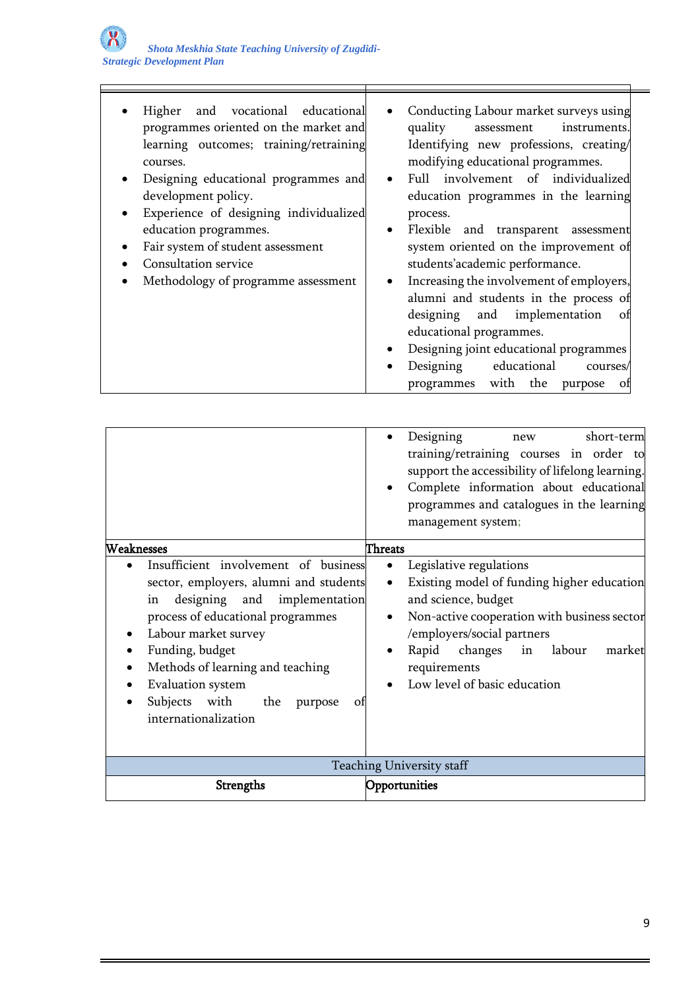| and vocational educational<br>Higher        | Conducting Labour market surveys using                |
|---------------------------------------------|-------------------------------------------------------|
| programmes oriented on the market and       | quality<br>instruments.<br>assessment                 |
| learning outcomes; training/retraining      | Identifying new professions, creating/                |
| courses.                                    | modifying educational programmes.                     |
| Designing educational programmes and        | Full involvement of individualized                    |
| development policy.                         | education programmes in the learning                  |
| Experience of designing individualized<br>٠ | process.                                              |
| education programmes.                       | Flexible and transparent assessment<br>$\bullet$      |
| Fair system of student assessment<br>٠      | system oriented on the improvement of                 |
| Consultation service                        | students'academic performance.                        |
| Methodology of programme assessment         | Increasing the involvement of employers,<br>$\bullet$ |
|                                             | alumni and students in the process of                 |
|                                             | and implementation<br>designing<br>οt                 |
|                                             | educational programmes.                               |
|                                             | Designing joint educational programmes                |
|                                             | educational<br>Designing<br>$\bullet$<br>courses/     |
|                                             | with the purpose<br>programmes<br>οt                  |

|                                                                                                                                                                                                                                                                                                                                                          | Designing<br>short-term<br>new<br>training/retraining courses in order to<br>support the accessibility of lifelong learning.<br>Complete information about educational<br>programmes and catalogues in the learning<br>management system;                                                                     |
|----------------------------------------------------------------------------------------------------------------------------------------------------------------------------------------------------------------------------------------------------------------------------------------------------------------------------------------------------------|---------------------------------------------------------------------------------------------------------------------------------------------------------------------------------------------------------------------------------------------------------------------------------------------------------------|
| Weaknesses<br>Insufficient involvement of business<br>sector, employers, alumni and students<br>designing and implementation<br>in<br>process of educational programmes<br>Labour market survey<br>٠<br>Funding, budget<br>Methods of learning and teaching<br><b>Evaluation</b> system<br>Subjects with<br>the<br>purpose<br>οt<br>internationalization | <b>Threats</b><br>Legislative regulations<br>$\bullet$<br>Existing model of funding higher education<br>$\bullet$<br>and science, budget<br>Non-active cooperation with business sector<br>/employers/social partners<br>Rapid changes in<br>labour<br>market<br>requirements<br>Low level of basic education |
|                                                                                                                                                                                                                                                                                                                                                          | Teaching University staff                                                                                                                                                                                                                                                                                     |
| <b>Strengths</b>                                                                                                                                                                                                                                                                                                                                         | Opportunities                                                                                                                                                                                                                                                                                                 |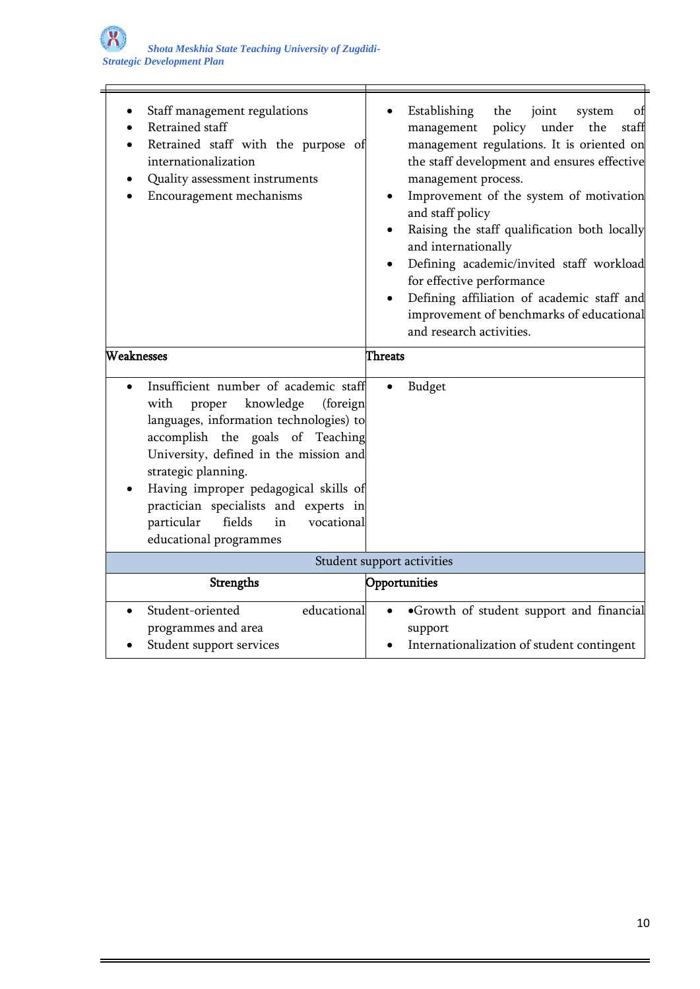Ξ

| Staff management regulations<br>Retrained staff<br>Retrained staff with the purpose of<br>internationalization<br>Quality assessment instruments<br>Encouragement mechanisms                                                                                                                                                                                                             | Establishing<br>the<br>joint<br>system<br>οt<br>policy under<br>staff<br>management<br>the<br>management regulations. It is oriented on<br>the staff development and ensures effective<br>management process.<br>Improvement of the system of motivation<br>and staff policy<br>Raising the staff qualification both locally<br>and internationally<br>Defining academic/invited staff workload<br>for effective performance<br>Defining affiliation of academic staff and<br>improvement of benchmarks of educational<br>and research activities. |
|------------------------------------------------------------------------------------------------------------------------------------------------------------------------------------------------------------------------------------------------------------------------------------------------------------------------------------------------------------------------------------------|----------------------------------------------------------------------------------------------------------------------------------------------------------------------------------------------------------------------------------------------------------------------------------------------------------------------------------------------------------------------------------------------------------------------------------------------------------------------------------------------------------------------------------------------------|
| Weaknesses                                                                                                                                                                                                                                                                                                                                                                               | <b>Threats</b>                                                                                                                                                                                                                                                                                                                                                                                                                                                                                                                                     |
| Insufficient number of academic staff<br>knowledge<br>with<br>proper<br>(foreign<br>languages, information technologies) to<br>accomplish the goals of Teaching<br>University, defined in the mission and<br>strategic planning.<br>Having improper pedagogical skills of<br>practician specialists and experts in<br>particular<br>fields<br>in<br>vocational<br>educational programmes | Budget                                                                                                                                                                                                                                                                                                                                                                                                                                                                                                                                             |
|                                                                                                                                                                                                                                                                                                                                                                                          | Student support activities                                                                                                                                                                                                                                                                                                                                                                                                                                                                                                                         |
| Strengths                                                                                                                                                                                                                                                                                                                                                                                | Opportunities                                                                                                                                                                                                                                                                                                                                                                                                                                                                                                                                      |
| educational<br>Student-oriented<br>$\bullet$<br>programmes and area<br>Student support services                                                                                                                                                                                                                                                                                          | ·Growth of student support and financial<br>support<br>Internationalization of student contingent                                                                                                                                                                                                                                                                                                                                                                                                                                                  |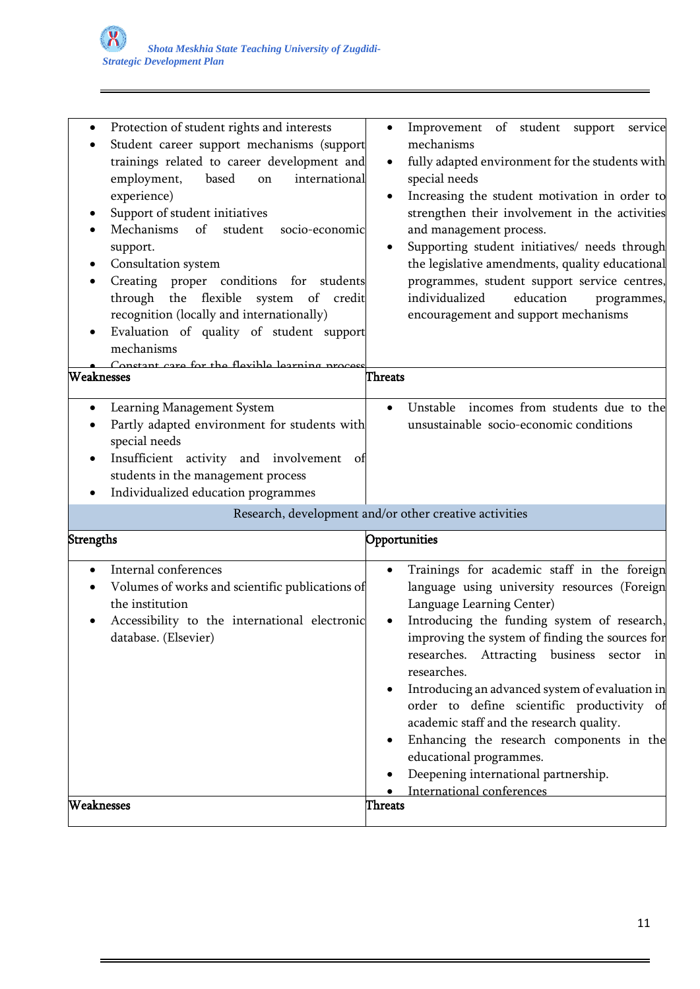| Protection of student rights and interests<br>٠<br>Student career support mechanisms (support<br>trainings related to career development and<br>employment,<br>based<br>international<br>on<br>experience)<br>Support of student initiatives<br>Mechanisms<br>of<br>student<br>socio-economic<br>support.<br>Consultation system<br>Creating proper conditions for students<br>٠<br>through the flexible system of<br>credit<br>recognition (locally and internationally)<br>Evaluation of quality of student support<br>mechanisms<br>Constant care for the flevihle learning process<br>Weaknesses | Improvement of student support<br>service<br>$\bullet$<br>mechanisms<br>fully adapted environment for the students with<br>$\bullet$<br>special needs<br>Increasing the student motivation in order to<br>$\bullet$<br>strengthen their involvement in the activities<br>and management process.<br>Supporting student initiatives/ needs through<br>the legislative amendments, quality educational<br>programmes, student support service centres,<br>education<br>individualized<br>programmes,<br>encouragement and support mechanisms<br>Threats                                                   |
|------------------------------------------------------------------------------------------------------------------------------------------------------------------------------------------------------------------------------------------------------------------------------------------------------------------------------------------------------------------------------------------------------------------------------------------------------------------------------------------------------------------------------------------------------------------------------------------------------|---------------------------------------------------------------------------------------------------------------------------------------------------------------------------------------------------------------------------------------------------------------------------------------------------------------------------------------------------------------------------------------------------------------------------------------------------------------------------------------------------------------------------------------------------------------------------------------------------------|
| Learning Management System<br>٠<br>Partly adapted environment for students with<br>special needs<br>Insufficient activity and involvement of<br>students in the management process<br>Individualized education programmes<br>٠                                                                                                                                                                                                                                                                                                                                                                       | incomes from students due to the<br>Unstable<br>$\bullet$<br>unsustainable socio-economic conditions                                                                                                                                                                                                                                                                                                                                                                                                                                                                                                    |
| Strengths                                                                                                                                                                                                                                                                                                                                                                                                                                                                                                                                                                                            | Research, development and/or other creative activities<br>Opportunities                                                                                                                                                                                                                                                                                                                                                                                                                                                                                                                                 |
| Internal conferences<br>$\bullet$<br>Volumes of works and scientific publications of<br>the institution<br>Accessibility to the international electronic<br>database. (Elsevier)<br>Weaknesses                                                                                                                                                                                                                                                                                                                                                                                                       | Trainings for academic staff in the foreign<br>$\bullet$<br>language using university resources (Foreign<br>Language Learning Center)<br>Introducing the funding system of research,<br>improving the system of finding the sources for<br>researches. Attracting business sector in<br>researches.<br>Introducing an advanced system of evaluation in<br>order to define scientific productivity of<br>academic staff and the research quality.<br>Enhancing the research components in the<br>educational programmes.<br>Deepening international partnership.<br>International conferences<br>Threats |
|                                                                                                                                                                                                                                                                                                                                                                                                                                                                                                                                                                                                      |                                                                                                                                                                                                                                                                                                                                                                                                                                                                                                                                                                                                         |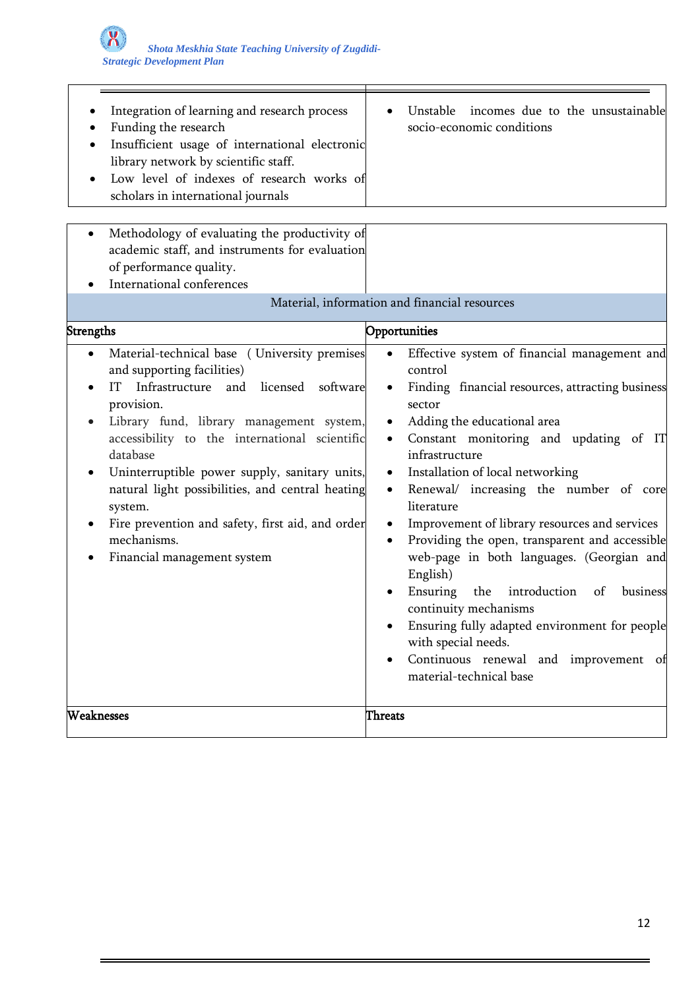| Integration of learning and research process<br>Funding the research<br>Insufficient usage of international electronic<br>library network by scientific staff.<br>Low level of indexes of research works of<br>scholars in international journals<br>Methodology of evaluating the productivity of<br>٠<br>academic staff, and instruments for evaluation<br>of performance quality.<br>International conferences                                                                      | Unstable<br>incomes due to the unsustainable<br>socio-economic conditions                                                                                                                                                                                                                                                                                                                                                                                                                                                                                                                                                                                                                                                                                             |
|----------------------------------------------------------------------------------------------------------------------------------------------------------------------------------------------------------------------------------------------------------------------------------------------------------------------------------------------------------------------------------------------------------------------------------------------------------------------------------------|-----------------------------------------------------------------------------------------------------------------------------------------------------------------------------------------------------------------------------------------------------------------------------------------------------------------------------------------------------------------------------------------------------------------------------------------------------------------------------------------------------------------------------------------------------------------------------------------------------------------------------------------------------------------------------------------------------------------------------------------------------------------------|
|                                                                                                                                                                                                                                                                                                                                                                                                                                                                                        | Material, information and financial resources                                                                                                                                                                                                                                                                                                                                                                                                                                                                                                                                                                                                                                                                                                                         |
| <b>Strengths</b>                                                                                                                                                                                                                                                                                                                                                                                                                                                                       | Opportunities                                                                                                                                                                                                                                                                                                                                                                                                                                                                                                                                                                                                                                                                                                                                                         |
| Material-technical base (University premises<br>$\bullet$<br>and supporting facilities)<br>Infrastructure and licensed<br>IT<br>software<br>provision.<br>Library fund, library management system,<br>accessibility to the international scientific<br>database<br>Uninterruptible power supply, sanitary units,<br>٠<br>natural light possibilities, and central heating<br>system.<br>Fire prevention and safety, first aid, and order<br>mechanisms.<br>Financial management system | Effective system of financial management and<br>$\bullet$<br>control<br>Finding financial resources, attracting business<br>sector<br>Adding the educational area<br>Constant monitoring and updating of IT<br>$\bullet$<br>infrastructure<br>Installation of local networking<br>$\bullet$<br>Renewal/ increasing the number of core<br>$\bullet$<br>literature<br>Improvement of library resources and services<br>٠<br>Providing the open, transparent and accessible<br>$\bullet$<br>web-page in both languages. (Georgian and<br>English)<br>Ensuring<br>the introduction<br>business<br>of<br>continuity mechanisms<br>Ensuring fully adapted environment for people<br>with special needs.<br>Continuous renewal and improvement of<br>material-technical base |
| Weaknesses                                                                                                                                                                                                                                                                                                                                                                                                                                                                             | <b>Threats</b>                                                                                                                                                                                                                                                                                                                                                                                                                                                                                                                                                                                                                                                                                                                                                        |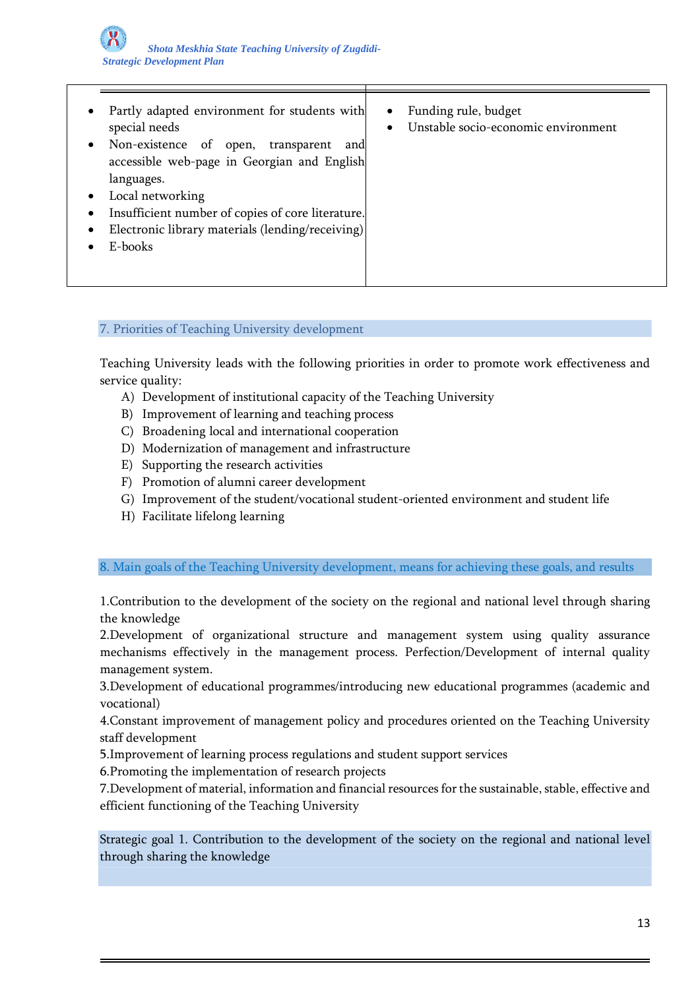| Partly adapted environment for students with<br>special needs                                                                        | Funding rule, budget<br>$\bullet$<br>Unstable socio-economic environment<br>$\bullet$ |
|--------------------------------------------------------------------------------------------------------------------------------------|---------------------------------------------------------------------------------------|
| Non-existence of open, transparent<br>and<br>accessible web-page in Georgian and English<br>languages.                               |                                                                                       |
| Local networking<br>Insufficient number of copies of core literature.<br>Electronic library materials (lending/receiving)<br>E-books |                                                                                       |

## 7. Priorities of Teaching University development

Teaching University leads with the following priorities in order to promote work effectiveness and service quality:

- A) Development of institutional capacity of the Teaching University
- B) Improvement of learning and teaching process
- C) Broadening local and international cooperation
- D) Modernization of management and infrastructure
- E) Supporting the research activities
- F) Promotion of alumni career development
- G) Improvement of the student/vocational student-oriented environment and student life
- H) Facilitate lifelong learning

8. Main goals of the Teaching University development, means for achieving these goals, and results

1.Contribution to the development of the society on the regional and national level through sharing the knowledge

2.Development of organizational structure and management system using quality assurance mechanisms effectively in the management process. Perfection/Development of internal quality management system.

3.Development of educational programmes/introducing new educational programmes (academic and vocational)

4.Constant improvement of management policy and procedures oriented on the Teaching University staff development

5.Improvement of learning process regulations and student support services

6.Promoting the implementation of research projects

7.Development of material, information and financial resources for the sustainable, stable, effective and efficient functioning of the Teaching University

Strategic goal 1. Contribution to the development of the society on the regional and national level through sharing the knowledge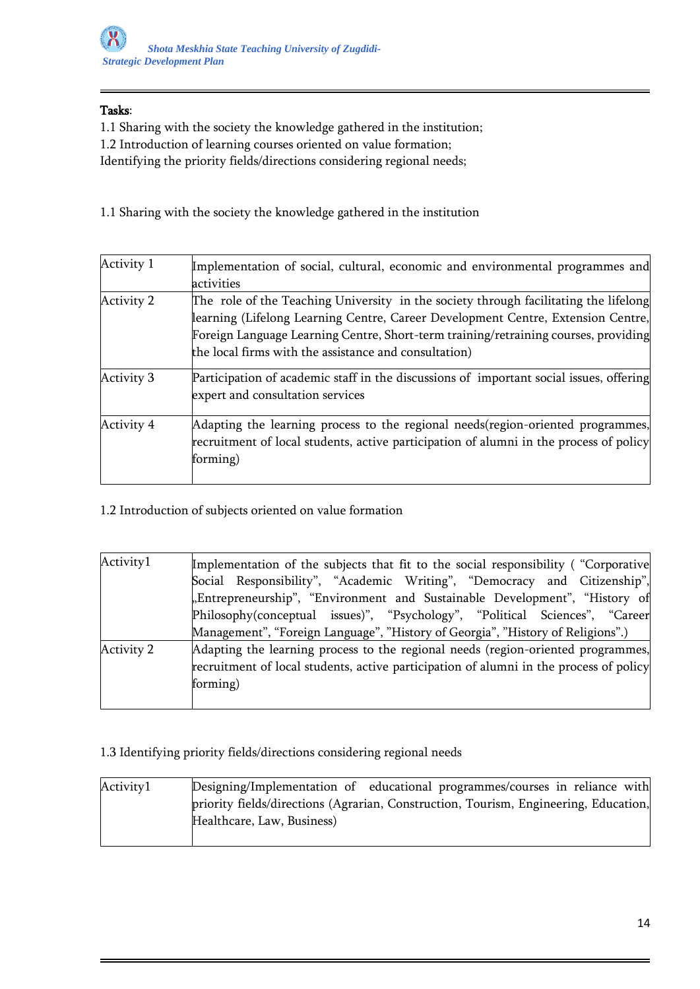## Tasks:

1.1 Sharing with the society the knowledge gathered in the institution;

1.2 Introduction of learning courses oriented on value formation;

Identifying the priority fields/directions considering regional needs;

1.1 Sharing with the society the knowledge gathered in the institution

| Activity 1 | Implementation of social, cultural, economic and environmental programmes and<br>activities                                                                                                                                                                                                                              |
|------------|--------------------------------------------------------------------------------------------------------------------------------------------------------------------------------------------------------------------------------------------------------------------------------------------------------------------------|
| Activity 2 | The role of the Teaching University in the society through facilitating the lifelong<br>learning (Lifelong Learning Centre, Career Development Centre, Extension Centre,<br>Foreign Language Learning Centre, Short-term training/retraining courses, providing<br>the local firms with the assistance and consultation) |
| Activity 3 | Participation of academic staff in the discussions of important social issues, offering<br>expert and consultation services                                                                                                                                                                                              |
| Activity 4 | Adapting the learning process to the regional needs (region-oriented programmes,<br>recruitment of local students, active participation of alumni in the process of policy<br>forming)                                                                                                                                   |

1.2 Introduction of subjects oriented on value formation

| Activity1  | Implementation of the subjects that fit to the social responsibility ("Corporative     |
|------------|----------------------------------------------------------------------------------------|
|            | Social Responsibility", "Academic Writing", "Democracy and Citizenship",               |
|            | "Entrepreneurship", "Environment and Sustainable Development", "History of             |
|            | Philosophy(conceptual issues)", "Psychology", "Political Sciences", "Career            |
|            | Management", "Foreign Language", "History of Georgia", "History of Religions".)        |
| Activity 2 | Adapting the learning process to the regional needs (region-oriented programmes,       |
|            | recruitment of local students, active participation of alumni in the process of policy |
|            | forming)                                                                               |
|            |                                                                                        |

# 1.3 Identifying priority fields/directions considering regional needs

| Activity1 | Designing/Implementation of educational programmes/courses in reliance with          |
|-----------|--------------------------------------------------------------------------------------|
|           | priority fields/directions (Agrarian, Construction, Tourism, Engineering, Education, |
|           | Healthcare, Law, Business)                                                           |
|           |                                                                                      |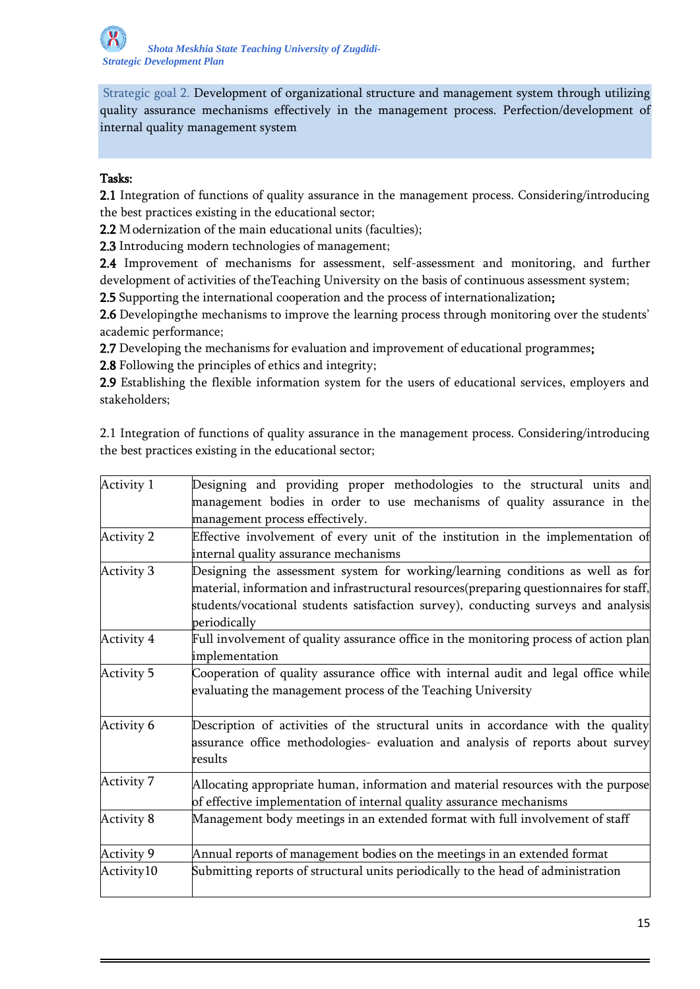Strategic goal 2. Development of organizational structure and management system through utilizing quality assurance mechanisms effectively in the management process. Perfection/development of internal quality management system

### Tasks:

2.1 Integration of functions of quality assurance in the management process. Considering/introducing the best practices existing in the educational sector;

2.2 Modernization of the main educational units (faculties);

2.3 Introducing modern technologies of management;

2.4 Improvement of mechanisms for assessment, self-assessment and monitoring, and further development of activities of theTeaching University on the basis of continuous assessment system;

2.5 Supporting the international cooperation and the process of internationalization;

2.6 Developingthe mechanisms to improve the learning process through monitoring over the students' academic performance;

2.7 Developing the mechanisms for evaluation and improvement of educational programmes;

2.8 Following the principles of ethics and integrity;

2.9 Establishing the flexible information system for the users of educational services, employers and stakeholders;

2.1 Integration of functions of quality assurance in the management process. Considering/introducing the best practices existing in the educational sector;

| Activity 1        | Designing and providing proper methodologies to the structural units and<br>management bodies in order to use mechanisms of quality assurance in the                                                                                                                            |
|-------------------|---------------------------------------------------------------------------------------------------------------------------------------------------------------------------------------------------------------------------------------------------------------------------------|
|                   | management process effectively.                                                                                                                                                                                                                                                 |
| <b>Activity 2</b> | Effective involvement of every unit of the institution in the implementation of                                                                                                                                                                                                 |
|                   | internal quality assurance mechanisms                                                                                                                                                                                                                                           |
| Activity 3        | Designing the assessment system for working/learning conditions as well as for<br>material, information and infrastructural resources(preparing questionnaires for staff,<br>students/vocational students satisfaction survey), conducting surveys and analysis<br>periodically |
| Activity 4        | Full involvement of quality assurance office in the monitoring process of action plan<br>implementation                                                                                                                                                                         |
| Activity 5        | Cooperation of quality assurance office with internal audit and legal office while<br>evaluating the management process of the Teaching University                                                                                                                              |
| Activity 6        | Description of activities of the structural units in accordance with the quality<br>assurance office methodologies- evaluation and analysis of reports about survey<br>results                                                                                                  |
| Activity 7        | Allocating appropriate human, information and material resources with the purpose<br>of effective implementation of internal quality assurance mechanisms                                                                                                                       |
| Activity 8        | Management body meetings in an extended format with full involvement of staff                                                                                                                                                                                                   |
| Activity 9        | Annual reports of management bodies on the meetings in an extended format                                                                                                                                                                                                       |
| Activity10        | Submitting reports of structural units periodically to the head of administration                                                                                                                                                                                               |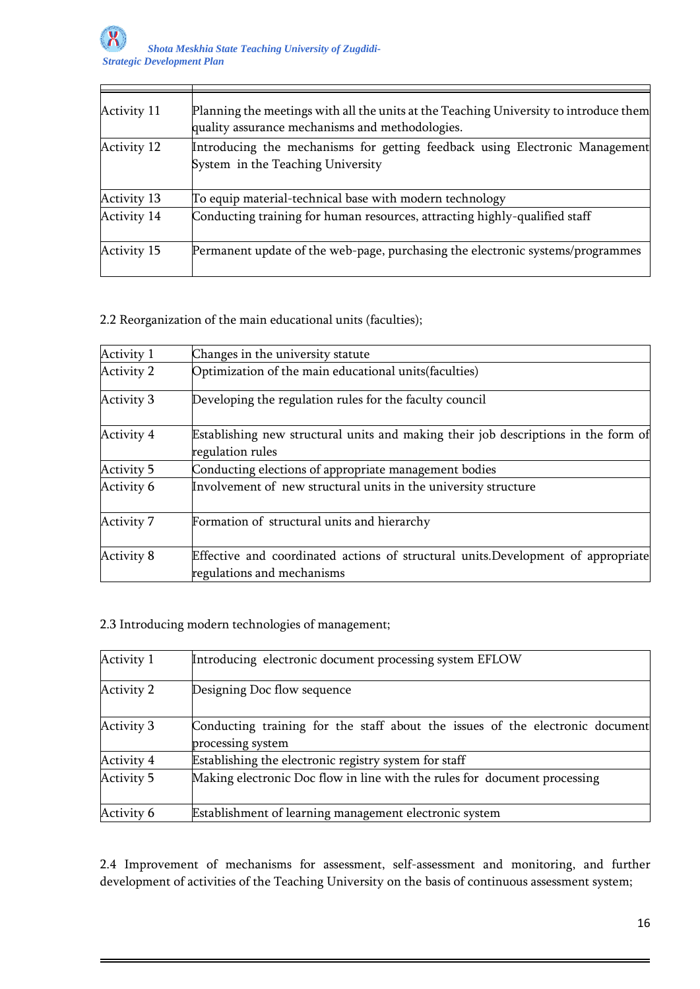| Activity 11        | Planning the meetings with all the units at the Teaching University to introduce them<br>quality assurance mechanisms and methodologies. |
|--------------------|------------------------------------------------------------------------------------------------------------------------------------------|
| <b>Activity 12</b> | Introducing the mechanisms for getting feedback using Electronic Management<br>System in the Teaching University                         |
| Activity 13        | To equip material-technical base with modern technology                                                                                  |
| <b>Activity 14</b> | Conducting training for human resources, attracting highly-qualified staff                                                               |
| <b>Activity 15</b> | Permanent update of the web-page, purchasing the electronic systems/programmes                                                           |

2.2 Reorganization of the main educational units (faculties);

| Activity 1        | Changes in the university statute                                                                               |
|-------------------|-----------------------------------------------------------------------------------------------------------------|
| Activity 2        | Optimization of the main educational units (faculties)                                                          |
| <b>Activity 3</b> | Developing the regulation rules for the faculty council                                                         |
| Activity 4        | Establishing new structural units and making their job descriptions in the form of<br>regulation rules          |
| <b>Activity 5</b> | Conducting elections of appropriate management bodies                                                           |
| Activity 6        | Involvement of new structural units in the university structure                                                 |
| <b>Activity 7</b> | Formation of structural units and hierarchy                                                                     |
| Activity 8        | Effective and coordinated actions of structural units. Development of appropriate<br>regulations and mechanisms |

2.3 Introducing modern technologies of management;

| Activity 1 | Introducing electronic document processing system EFLOW                                            |
|------------|----------------------------------------------------------------------------------------------------|
| Activity 2 | Designing Doc flow sequence                                                                        |
| Activity 3 | Conducting training for the staff about the issues of the electronic document<br>processing system |
| Activity 4 | Establishing the electronic registry system for staff                                              |
| Activity 5 | Making electronic Doc flow in line with the rules for document processing                          |
| Activity 6 | Establishment of learning management electronic system                                             |

2.4 Improvement of mechanisms for assessment, self-assessment and monitoring, and further development of activities of the Teaching University on the basis of continuous assessment system;

┑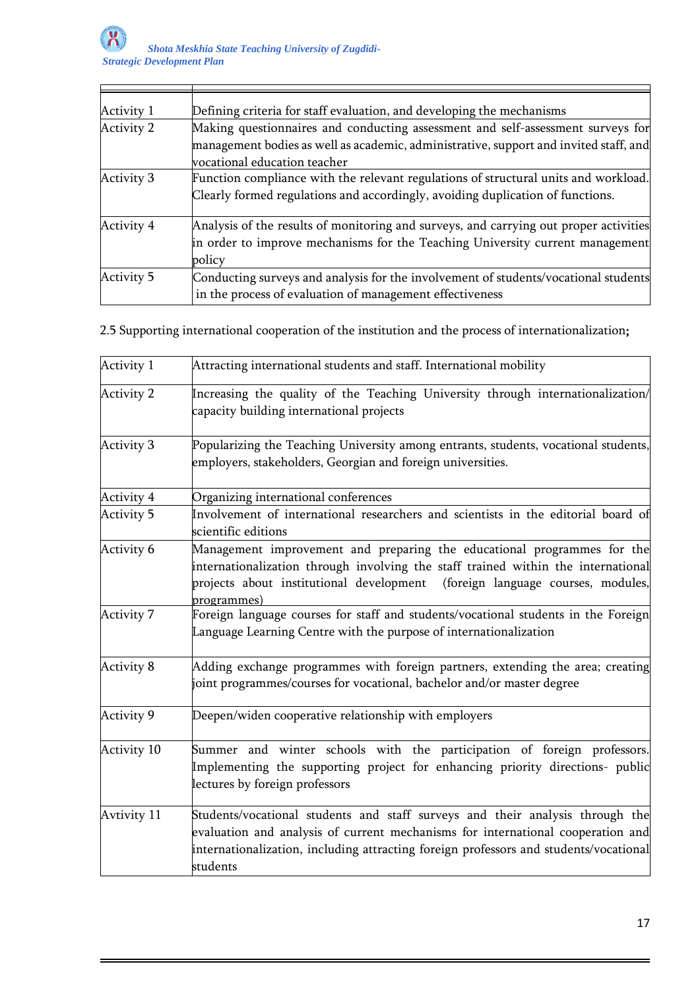| Activity 1        | Defining criteria for staff evaluation, and developing the mechanisms                 |
|-------------------|---------------------------------------------------------------------------------------|
| Activity 2        | Making questionnaires and conducting assessment and self-assessment surveys for       |
|                   | management bodies as well as academic, administrative, support and invited staff, and |
|                   | vocational education teacher                                                          |
| Activity 3        | Function compliance with the relevant regulations of structural units and workload.   |
|                   | Clearly formed regulations and accordingly, avoiding duplication of functions.        |
| Activity 4        | Analysis of the results of monitoring and surveys, and carrying out proper activities |
|                   | in order to improve mechanisms for the Teaching University current management         |
|                   | policy                                                                                |
| <b>Activity 5</b> | Conducting surveys and analysis for the involvement of students/vocational students   |
|                   | in the process of evaluation of management effectiveness                              |

2.5 Supporting international cooperation of the institution and the process of internationalization;

| Activity 1        | Attracting international students and staff. International mobility                                                                                                                                                                                                   |
|-------------------|-----------------------------------------------------------------------------------------------------------------------------------------------------------------------------------------------------------------------------------------------------------------------|
| <b>Activity 2</b> | Increasing the quality of the Teaching University through internationalization/<br>capacity building international projects                                                                                                                                           |
| <b>Activity 3</b> | Popularizing the Teaching University among entrants, students, vocational students,<br>employers, stakeholders, Georgian and foreign universities.                                                                                                                    |
| <b>Activity 4</b> | Organizing international conferences                                                                                                                                                                                                                                  |
| <b>Activity 5</b> | Involvement of international researchers and scientists in the editorial board of<br>scientific editions                                                                                                                                                              |
| Activity 6        | Management improvement and preparing the educational programmes for the<br>internationalization through involving the staff trained within the international<br>projects about institutional development (foreign language courses, modules,<br>programmes)           |
| Activity 7        | Foreign language courses for staff and students/vocational students in the Foreign<br>Language Learning Centre with the purpose of internationalization                                                                                                               |
| Activity 8        | Adding exchange programmes with foreign partners, extending the area; creating<br>joint programmes/courses for vocational, bachelor and/or master degree                                                                                                              |
| Activity 9        | Deepen/widen cooperative relationship with employers                                                                                                                                                                                                                  |
| Activity 10       | Summer and winter schools with the participation of foreign professors.<br>Implementing the supporting project for enhancing priority directions- public<br>lectures by foreign professors                                                                            |
| Avtivity 11       | Students/vocational students and staff surveys and their analysis through the<br>evaluation and analysis of current mechanisms for international cooperation and<br>internationalization, including attracting foreign professors and students/vocational<br>students |

┙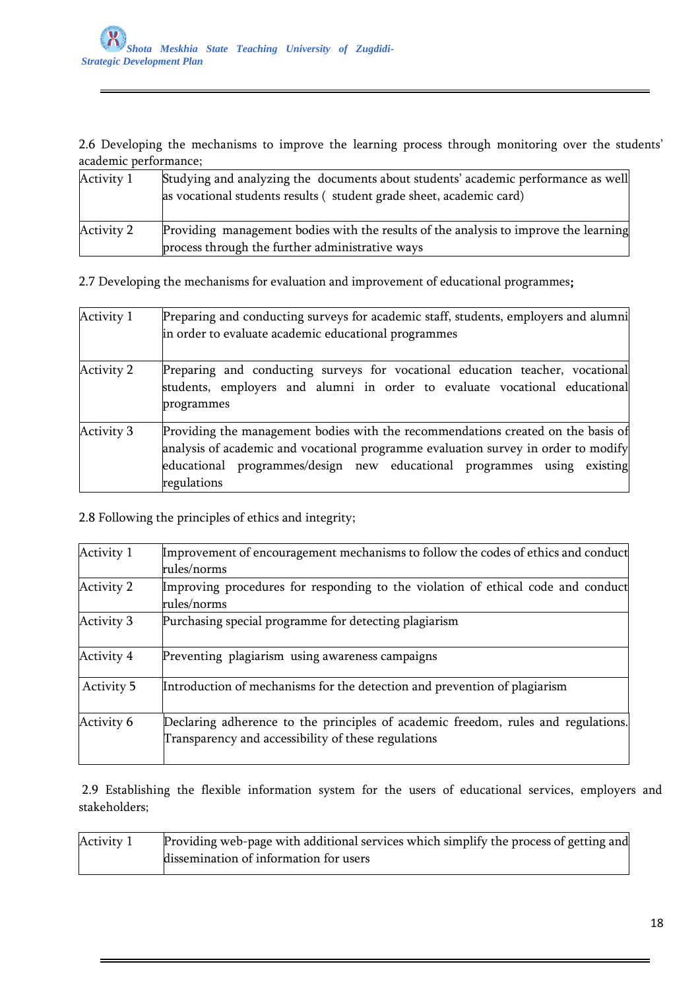2.6 Developing the mechanisms to improve the learning process through monitoring over the students' academic performance;

| Activity 1 | Studying and analyzing the documents about students' academic performance as well<br>as vocational students results (student grade sheet, academic card) |
|------------|----------------------------------------------------------------------------------------------------------------------------------------------------------|
| Activity 2 | Providing management bodies with the results of the analysis to improve the learning<br>process through the further administrative ways                  |

2.7 Developing the mechanisms for evaluation and improvement of educational programmes;

| Activity 1        | Preparing and conducting surveys for academic staff, students, employers and alumni<br>in order to evaluate academic educational programmes                                                                                                                      |
|-------------------|------------------------------------------------------------------------------------------------------------------------------------------------------------------------------------------------------------------------------------------------------------------|
| Activity 2        | Preparing and conducting surveys for vocational education teacher, vocational<br>students, employers and alumni in order to evaluate vocational educational<br>programmes                                                                                        |
| <b>Activity 3</b> | Providing the management bodies with the recommendations created on the basis of<br>analysis of academic and vocational programme evaluation survey in order to modify<br>educational programmes/design new educational programmes using existing<br>regulations |

# 2.8 Following the principles of ethics and integrity;

| Activity 1 | Improvement of encouragement mechanisms to follow the codes of ethics and conduct<br>rules/norms                                         |
|------------|------------------------------------------------------------------------------------------------------------------------------------------|
| Activity 2 | Improving procedures for responding to the violation of ethical code and conduct<br>rules/norms                                          |
| Activity 3 | Purchasing special programme for detecting plagiarism                                                                                    |
| Activity 4 | Preventing plagiarism using awareness campaigns                                                                                          |
| Activity 5 | Introduction of mechanisms for the detection and prevention of plagiarism                                                                |
| Activity 6 | Declaring adherence to the principles of academic freedom, rules and regulations.<br>Transparency and accessibility of these regulations |

2.9 Establishing the flexible information system for the users of educational services, employers and stakeholders;

| Activity 1 | Providing web-page with additional services which simplify the process of getting and |  |
|------------|---------------------------------------------------------------------------------------|--|
|            | dissemination of information for users                                                |  |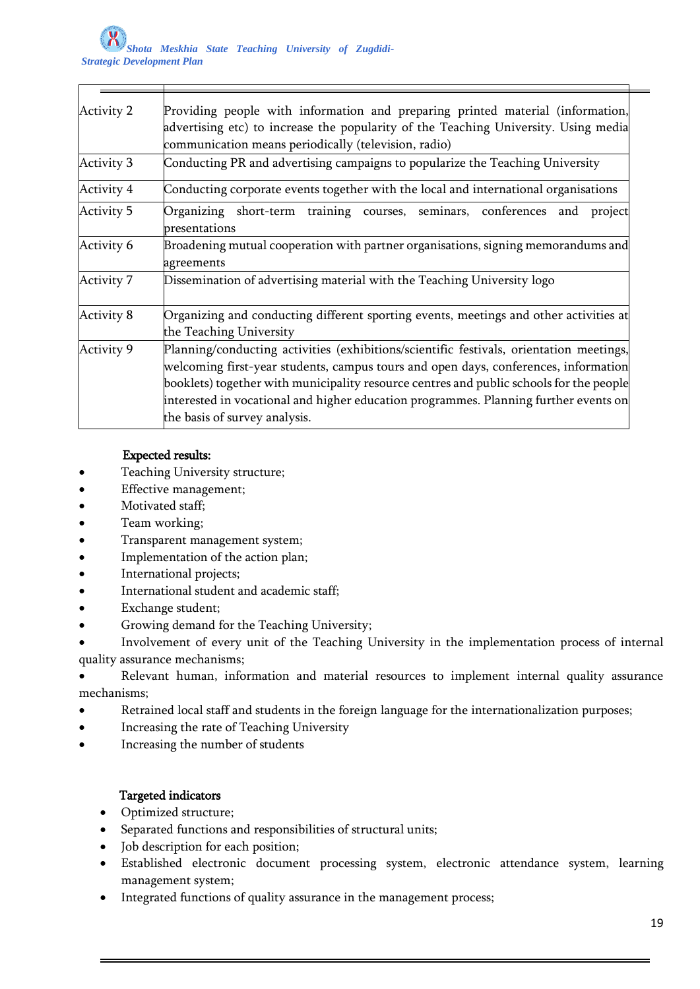| <b>Activity 2</b> | Providing people with information and preparing printed material (information,<br>advertising etc) to increase the popularity of the Teaching University. Using media<br>communication means periodically (television, radio)                                                                                                                                                                      |
|-------------------|----------------------------------------------------------------------------------------------------------------------------------------------------------------------------------------------------------------------------------------------------------------------------------------------------------------------------------------------------------------------------------------------------|
| <b>Activity 3</b> | Conducting PR and advertising campaigns to popularize the Teaching University                                                                                                                                                                                                                                                                                                                      |
| <b>Activity 4</b> | Conducting corporate events together with the local and international organisations                                                                                                                                                                                                                                                                                                                |
| <b>Activity 5</b> | Organizing short-term training courses, seminars, conferences and<br>project<br>presentations                                                                                                                                                                                                                                                                                                      |
| Activity 6        | Broadening mutual cooperation with partner organisations, signing memorandums and<br>agreements                                                                                                                                                                                                                                                                                                    |
| <b>Activity 7</b> | Dissemination of advertising material with the Teaching University logo                                                                                                                                                                                                                                                                                                                            |
| <b>Activity 8</b> | Organizing and conducting different sporting events, meetings and other activities at<br>the Teaching University                                                                                                                                                                                                                                                                                   |
| Activity 9        | Planning/conducting activities (exhibitions/scientific festivals, orientation meetings,<br>welcoming first-year students, campus tours and open days, conferences, information<br>booklets) together with municipality resource centres and public schools for the people<br>interested in vocational and higher education programmes. Planning further events on<br>the basis of survey analysis. |

# Expected results:

- Teaching University structure;
- Effective management;
- Motivated staff;
- Team working;
- Transparent management system;
- Implementation of the action plan;
- International projects;
- International student and academic staff;
- Exchange student;
- Growing demand for the Teaching University;
- Involvement of every unit of the Teaching University in the implementation process of internal quality assurance mechanisms;

 Relevant human, information and material resources to implement internal quality assurance mechanisms;

- Retrained local staff and students in the foreign language for the internationalization purposes;
- **•** Increasing the rate of Teaching University
- Increasing the number of students

# Targeted indicators

- Optimized structure;
- Separated functions and responsibilities of structural units;
- Job description for each position;
- Established electronic document processing system, electronic attendance system, learning management system;
- ntegrated functions of quality assurance in the management process;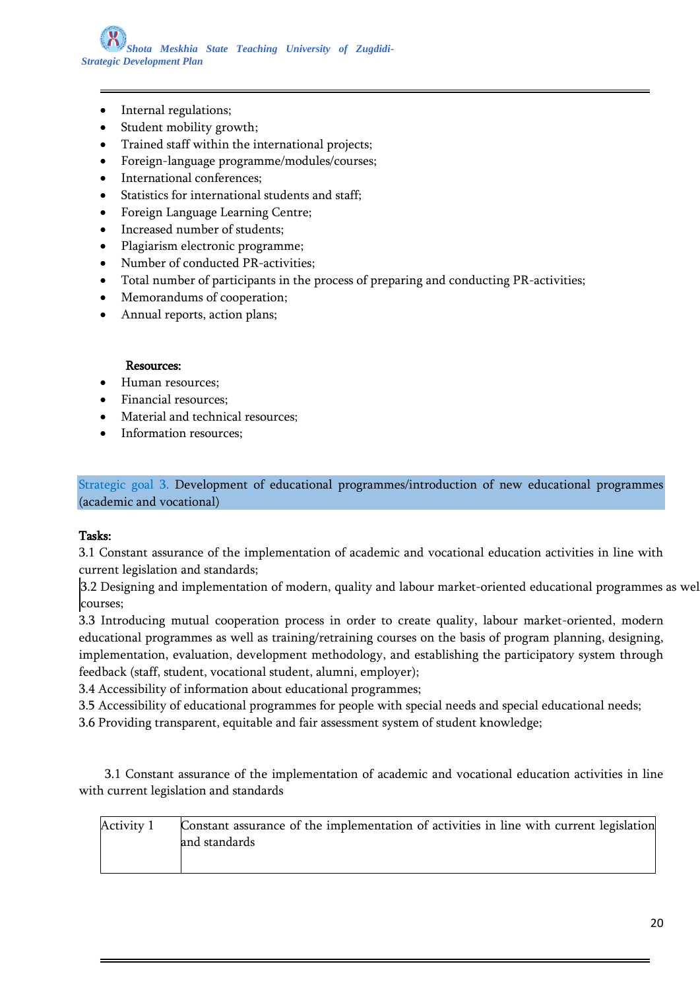*Shota Meskhia State Teaching University of Zugdidi-Strategic Development Plan*

- Internal regulations;
- Student mobility growth;
- Trained staff within the international projects;
- Foreign-language programme/modules/courses;
- International conferences;
- Statistics for international students and staff;
- Foreign Language Learning Centre;
- Increased number of students;
- Plagiarism electronic programme;
- Number of conducted PR-activities;
- Total number of participants in the process of preparing and conducting PR-activities;
- Memorandums of cooperation;
- Annual reports, action plans;

#### Resources:

- Human resources;
- Financial resources;
- Material and technical resources;
- Information resources;

Strategic goal 3. Development of educational programmes/introduction of new educational programmes (academic and vocational)

#### Tasks:

3.1 Constant assurance of the implementation of academic and vocational education activities in line with current legislation and standards;

3.2 Designing and implementation of modern, quality and labour market-oriented educational programmes as wel courses;

3.3 Introducing mutual cooperation process in order to create quality, labour market-oriented, modern educational programmes as well as training/retraining courses on the basis of program planning, designing, implementation, evaluation, development methodology, and establishing the participatory system through feedback (staff, student, vocational student, alumni, employer);

3.4 Accessibility of information about educational programmes;

3.5 Accessibility of educational programmes for people with special needs and special educational needs;

3.6 Providing transparent, equitable and fair assessment system of student knowledge;

 3.1 Constant assurance of the implementation of academic and vocational education activities in line with current legislation and standards

| Activity 1 | Constant assurance of the implementation of activities in line with current legislation |
|------------|-----------------------------------------------------------------------------------------|
|            | and standards                                                                           |
|            |                                                                                         |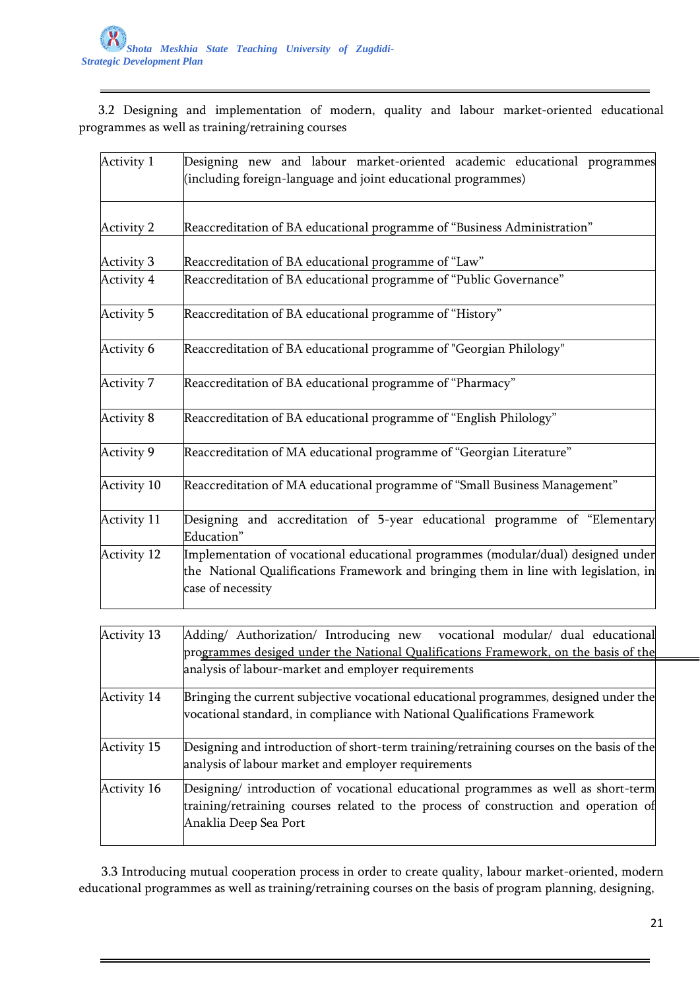3.2 Designing and implementation of modern, quality and labour market-oriented educational programmes as well as training/retraining courses

| Activity 1        | Designing new and labour market-oriented academic educational programmes<br>(including foreign-language and joint educational programmes)                                                      |
|-------------------|------------------------------------------------------------------------------------------------------------------------------------------------------------------------------------------------|
| <b>Activity 2</b> | Reaccreditation of BA educational programme of "Business Administration"                                                                                                                       |
| <b>Activity 3</b> | Reaccreditation of BA educational programme of "Law"                                                                                                                                           |
| Activity 4        | Reaccreditation of BA educational programme of "Public Governance"                                                                                                                             |
| <b>Activity 5</b> | Reaccreditation of BA educational programme of "History"                                                                                                                                       |
| Activity 6        | Reaccreditation of BA educational programme of "Georgian Philology"                                                                                                                            |
| Activity 7        | Reaccreditation of BA educational programme of "Pharmacy"                                                                                                                                      |
| Activity 8        | Reaccreditation of BA educational programme of "English Philology"                                                                                                                             |
| Activity 9        | Reaccreditation of MA educational programme of "Georgian Literature"                                                                                                                           |
| Activity 10       | Reaccreditation of MA educational programme of "Small Business Management"                                                                                                                     |
| Activity 11       | Designing and accreditation of 5-year educational programme of "Elementary<br>Education"                                                                                                       |
| Activity 12       | Implementation of vocational educational programmes (modular/dual) designed under<br>the National Qualifications Framework and bringing them in line with legislation, in<br>case of necessity |

| <b>Activity 13</b> | Adding/ Authorization/ Introducing new vocational modular/ dual educational                                                                                                                        |
|--------------------|----------------------------------------------------------------------------------------------------------------------------------------------------------------------------------------------------|
|                    | programmes desiged under the National Qualifications Framework, on the basis of the                                                                                                                |
|                    | analysis of labour-market and employer requirements                                                                                                                                                |
| <b>Activity 14</b> | Bringing the current subjective vocational educational programmes, designed under the<br>vocational standard, in compliance with National Qualifications Framework                                 |
| <b>Activity 15</b> | Designing and introduction of short-term training/retraining courses on the basis of the<br>analysis of labour market and employer requirements                                                    |
| Activity 16        | Designing/ introduction of vocational educational programmes as well as short-term<br>training/retraining courses related to the process of construction and operation of<br>Anaklia Deep Sea Port |

 3.3 Introducing mutual cooperation process in order to create quality, labour market-oriented, modern educational programmes as well as training/retraining courses on the basis of program planning, designing,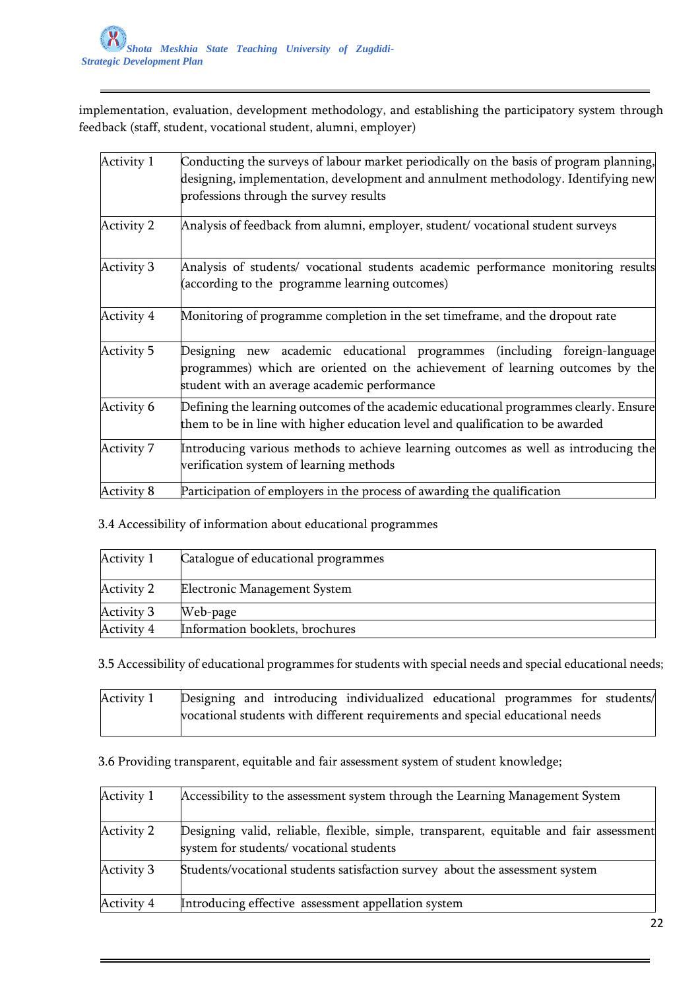implementation, evaluation, development methodology, and establishing the participatory system through feedback (staff, student, vocational student, alumni, employer)

| Activity 1        | Conducting the surveys of labour market periodically on the basis of program planning,<br>designing, implementation, development and annulment methodology. Identifying new<br>professions through the survey results |
|-------------------|-----------------------------------------------------------------------------------------------------------------------------------------------------------------------------------------------------------------------|
| <b>Activity 2</b> | Analysis of feedback from alumni, employer, student/ vocational student surveys                                                                                                                                       |
| <b>Activity 3</b> | Analysis of students/ vocational students academic performance monitoring results<br>(according to the programme learning outcomes)                                                                                   |
| Activity 4        | Monitoring of programme completion in the set timeframe, and the dropout rate                                                                                                                                         |
| <b>Activity 5</b> | Designing new academic educational programmes (including foreign-language<br>programmes) which are oriented on the achievement of learning outcomes by the<br>student with an average academic performance            |
| Activity 6        | Defining the learning outcomes of the academic educational programmes clearly. Ensure<br>them to be in line with higher education level and qualification to be awarded                                               |
| <b>Activity 7</b> | Introducing various methods to achieve learning outcomes as well as introducing the<br>verification system of learning methods                                                                                        |
| Activity 8        | Participation of employers in the process of awarding the qualification                                                                                                                                               |

3.4 Accessibility of information about educational programmes

| Activity 1        | Catalogue of educational programmes |
|-------------------|-------------------------------------|
| Activity 2        | Electronic Management System        |
| <b>Activity 3</b> | Web-page                            |
| Activity 4        | Information booklets, brochures     |

3.5 Accessibility of educational programmes for students with special needs and special educational needs;

| Activity 1 |  | Designing and introducing individualized educational programmes for students/ |  |  |
|------------|--|-------------------------------------------------------------------------------|--|--|
|            |  | vocational students with different requirements and special educational needs |  |  |

3.6 Providing transparent, equitable and fair assessment system of student knowledge;

| Activity 1 | Accessibility to the assessment system through the Learning Management System                                                      |
|------------|------------------------------------------------------------------------------------------------------------------------------------|
| Activity 2 | Designing valid, reliable, flexible, simple, transparent, equitable and fair assessment<br>system for students/vocational students |
| Activity 3 | Students/vocational students satisfaction survey about the assessment system                                                       |
| Activity 4 | Introducing effective assessment appellation system                                                                                |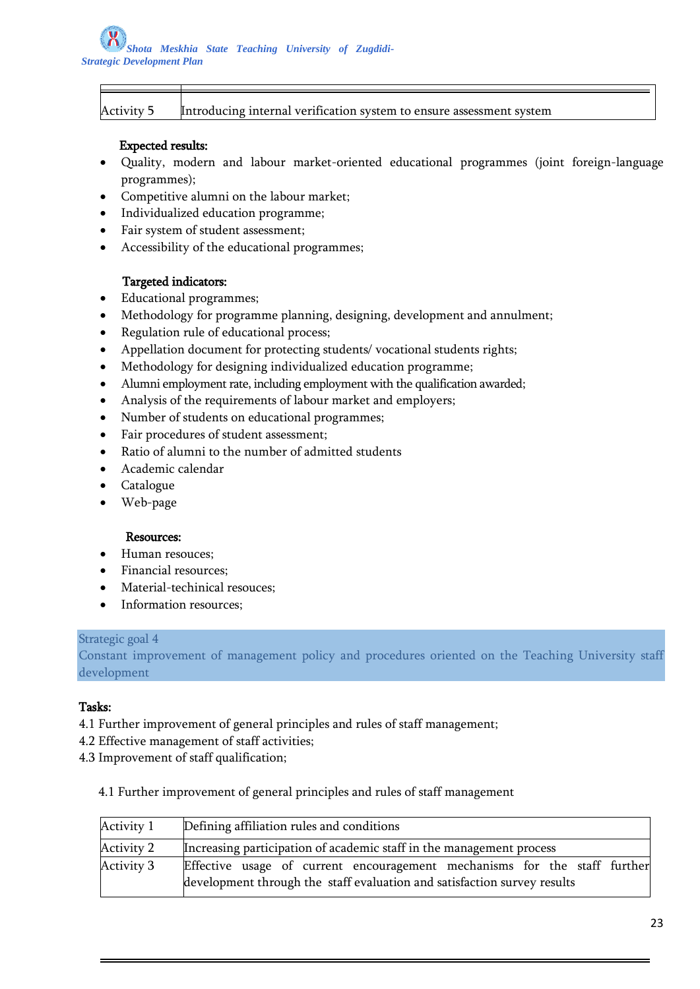|  | Activity |  |
|--|----------|--|
|  |          |  |

Introducing internal verification system to ensure assessment system

### Expected results:

- Quality, modern and labour market-oriented educational programmes (joint foreign-language programmes);
- Competitive alumni on the labour market;
- Individualized education programme;
- Fair system of student assessment;
- Accessibility of the educational programmes;

## Targeted indicators:

- Educational programmes;
- Methodology for programme planning, designing, development and annulment;
- Regulation rule of educational process;
- Appellation document for protecting students/ vocational students rights;
- Methodology for designing individualized education programme;
- Alumni employment rate, including employment with the qualification awarded;
- Analysis of the requirements of labour market and employers;
- Number of students on educational programmes;
- Fair procedures of student assessment;
- Ratio of alumni to the number of admitted students
- Academic calendar
- Catalogue
- Web-page

### Resources:

- Human resouces;
- Financial resources;
- Material-techinical resouces;
- Information resources;

### Strategic goal 4

Constant improvement of management policy and procedures oriented on the Teaching University staff development

### Tasks:

- 4.1 Further improvement of general principles and rules of staff management;
- 4.2 Effective management of staff activities;
- 4.3 Improvement of staff qualification;

4.1 Further improvement of general principles and rules of staff management

| Activity 1 | Defining affiliation rules and conditions                                 |  |  |
|------------|---------------------------------------------------------------------------|--|--|
| Activity 2 | Increasing participation of academic staff in the management process      |  |  |
| Activity 3 | Effective usage of current encouragement mechanisms for the staff further |  |  |
|            | development through the staff evaluation and satisfaction survey results  |  |  |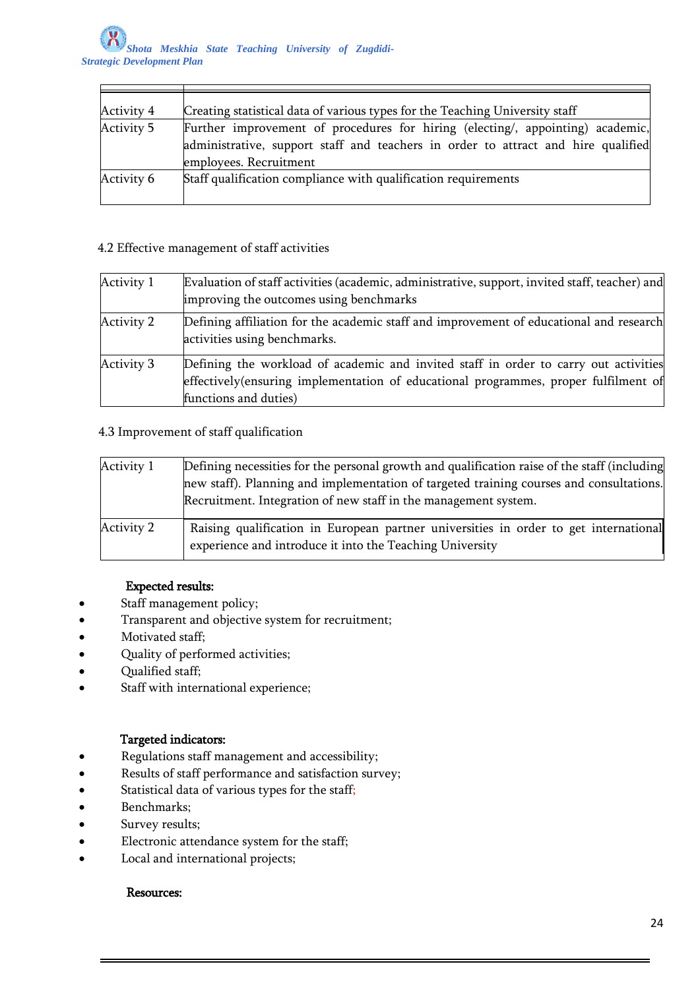$\mathsf{r}$ 

| Activity 4 | Creating statistical data of various types for the Teaching University staff                                                                                                                  |
|------------|-----------------------------------------------------------------------------------------------------------------------------------------------------------------------------------------------|
| Activity 5 | Further improvement of procedures for hiring (electing/, appointing) academic,<br>administrative, support staff and teachers in order to attract and hire qualified<br>employees. Recruitment |
| Activity 6 | Staff qualification compliance with qualification requirements                                                                                                                                |

## 4.2 Effective management of staff activities

| Activity 1 | Evaluation of staff activities (academic, administrative, support, invited staff, teacher) and                                                                                                        |
|------------|-------------------------------------------------------------------------------------------------------------------------------------------------------------------------------------------------------|
|            | improving the outcomes using benchmarks                                                                                                                                                               |
| Activity 2 | Defining affiliation for the academic staff and improvement of educational and research<br>activities using benchmarks.                                                                               |
| Activity 3 | Defining the workload of academic and invited staff in order to carry out activities<br>effectively (ensuring implementation of educational programmes, proper fulfilment of<br>functions and duties) |

# 4.3 Improvement of staff qualification

| Activity 1 | Defining necessities for the personal growth and qualification raise of the staff (including<br>new staff). Planning and implementation of targeted training courses and consultations.<br>Recruitment. Integration of new staff in the management system. |
|------------|------------------------------------------------------------------------------------------------------------------------------------------------------------------------------------------------------------------------------------------------------------|
| Activity 2 | Raising qualification in European partner universities in order to get international<br>experience and introduce it into the Teaching University                                                                                                           |

# Expected results:

- Staff management policy;
- Transparent and objective system for recruitment;
- Motivated staff;
- Quality of performed activities;
- Qualified staff;
- Staff with international experience;

# Targeted indicators:

- Regulations staff management and accessibility;
- Results of staff performance and satisfaction survey;
- **•** Statistical data of various types for the staff;
- Benchmarks;
- Survey results;
- Electronic attendance system for the staff;
- Local and international projects;

# Resources: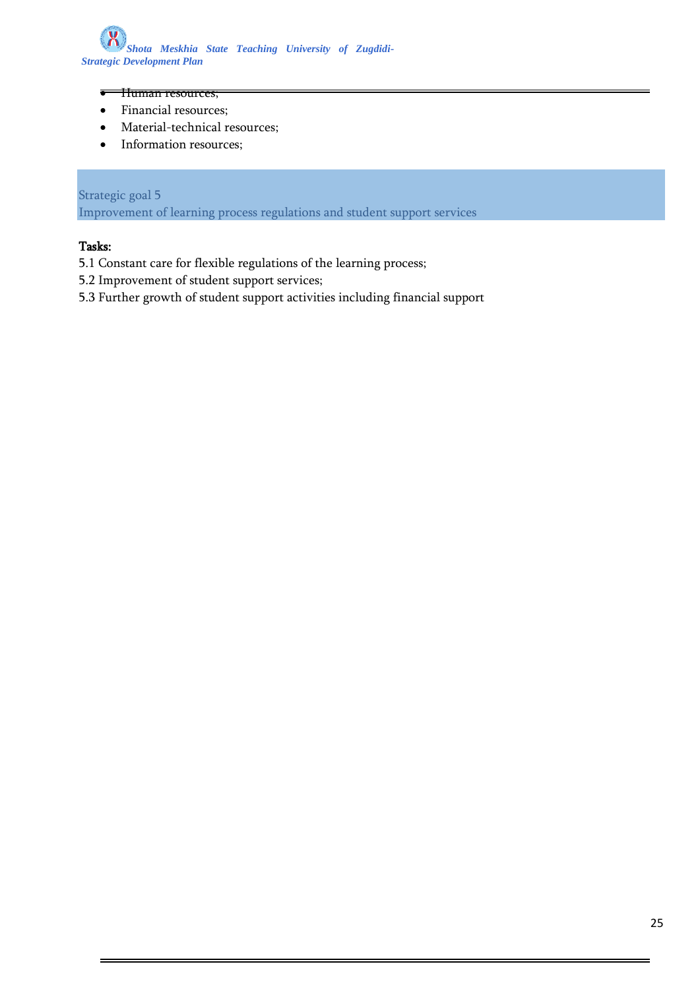

- **THuman resources;**
- Financial resources;
- Material-technical resources;
- Information resources;

# Strategic goal 5

Improvement of learning process regulations and student support services

### Tasks:

- 5.1 Constant care for flexible regulations of the learning process;
- 5.2 Improvement of student support services;
- 5.3 Further growth of student support activities including financial support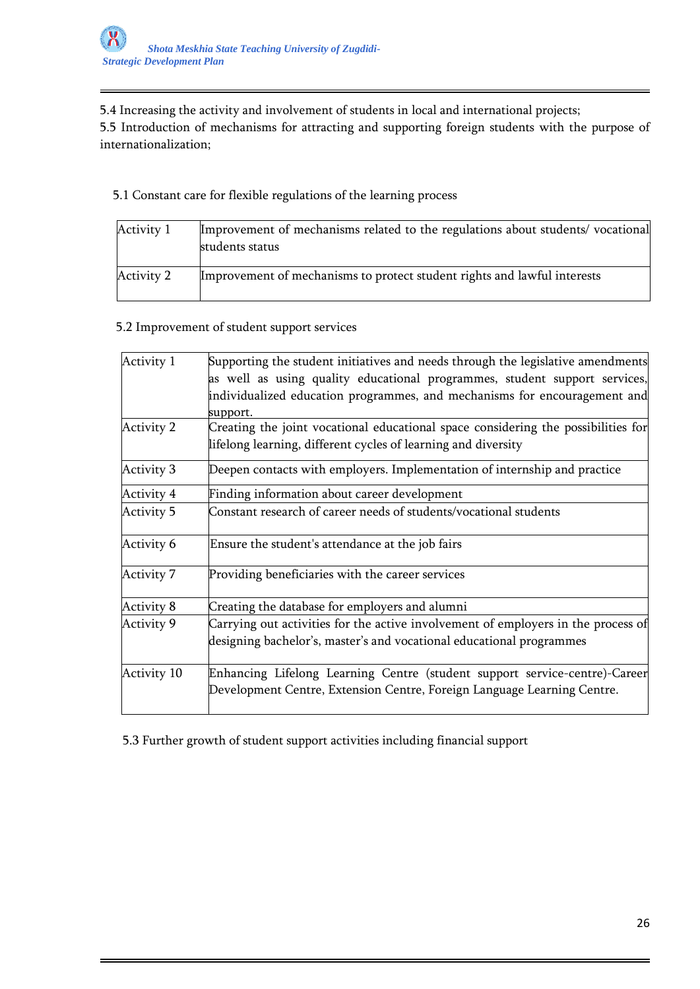5.4 Increasing the activity and involvement of students in local and international projects;

5.5 Introduction of mechanisms for attracting and supporting foreign students with the purpose of internationalization;

5.1 Constant care for flexible regulations of the learning process

| Activity 1 | Improvement of mechanisms related to the regulations about students/vocational<br>students status |
|------------|---------------------------------------------------------------------------------------------------|
| Activity 2 | Improvement of mechanisms to protect student rights and lawful interests                          |

# 5.2 Improvement of student support services

| Activity 1        | Supporting the student initiatives and needs through the legislative amendments   |
|-------------------|-----------------------------------------------------------------------------------|
|                   | as well as using quality educational programmes, student support services,        |
|                   | individualized education programmes, and mechanisms for encouragement and         |
|                   | support.                                                                          |
| <b>Activity 2</b> | Creating the joint vocational educational space considering the possibilities for |
|                   | lifelong learning, different cycles of learning and diversity                     |
| <b>Activity 3</b> | Deepen contacts with employers. Implementation of internship and practice         |
| Activity 4        | Finding information about career development                                      |
| <b>Activity 5</b> | Constant research of career needs of students/vocational students                 |
| Activity 6        | Ensure the student's attendance at the job fairs                                  |
| <b>Activity 7</b> | Providing beneficiaries with the career services                                  |
| <b>Activity 8</b> | Creating the database for employers and alumni                                    |
| <b>Activity 9</b> | Carrying out activities for the active involvement of employers in the process of |
|                   | designing bachelor's, master's and vocational educational programmes              |
| Activity 10       | Enhancing Lifelong Learning Centre (student support service-centre)-Career        |
|                   | Development Centre, Extension Centre, Foreign Language Learning Centre.           |

5.3 Further growth of student support activities including financial support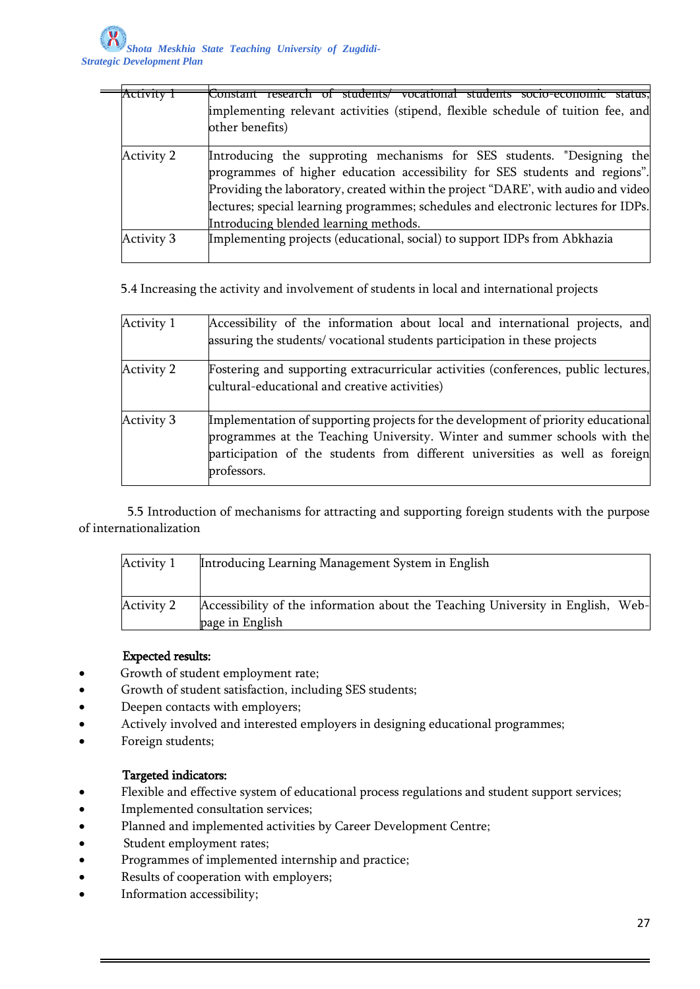| ACUVILV           | socio-economic status.<br>students/ vocational students<br>Constant research       |
|-------------------|------------------------------------------------------------------------------------|
|                   | implementing relevant activities (stipend, flexible schedule of tuition fee, and   |
|                   | other benefits)                                                                    |
|                   |                                                                                    |
| Activity 2        | Introducing the supproting mechanisms for SES students. "Designing the             |
|                   | programmes of higher education accessibility for SES students and regions".        |
|                   | Providing the laboratory, created within the project "DARE', with audio and video  |
|                   | lectures; special learning programmes; schedules and electronic lectures for IDPs. |
|                   | Introducing blended learning methods.                                              |
| <b>Activity 3</b> | Implementing projects (educational, social) to support IDPs from Abkhazia          |
|                   |                                                                                    |

5.4 Increasing the activity and involvement of students in local and international projects

| Activity 1        | Accessibility of the information about local and international projects, and<br>assuring the students/vocational students participation in these projects                                                                                                     |
|-------------------|---------------------------------------------------------------------------------------------------------------------------------------------------------------------------------------------------------------------------------------------------------------|
| Activity 2        | Fostering and supporting extracurricular activities (conferences, public lectures,<br>cultural-educational and creative activities)                                                                                                                           |
| <b>Activity 3</b> | Implementation of supporting projects for the development of priority educational<br>programmes at the Teaching University. Winter and summer schools with the<br>participation of the students from different universities as well as foreign<br>professors. |

 5.5 Introduction of mechanisms for attracting and supporting foreign students with the purpose of internationalization

| Activity 1 | Introducing Learning Management System in English                                                  |  |
|------------|----------------------------------------------------------------------------------------------------|--|
| Activity 2 | Accessibility of the information about the Teaching University in English, Web-<br>page in English |  |

### Expected results:

- Growth of student employment rate;
- Growth of student satisfaction, including SES students;
- Deepen contacts with employers;
- Actively involved and interested employers in designing educational programmes;
- Foreign students;

### Targeted indicators:

- Flexible and effective system of educational process regulations and student support services;
- Implemented consultation services;
- Planned and implemented activities by Career Development Centre;
- Student employment rates;
- Programmes of implemented internship and practice;
- Results of cooperation with employers;
- Information accessibility;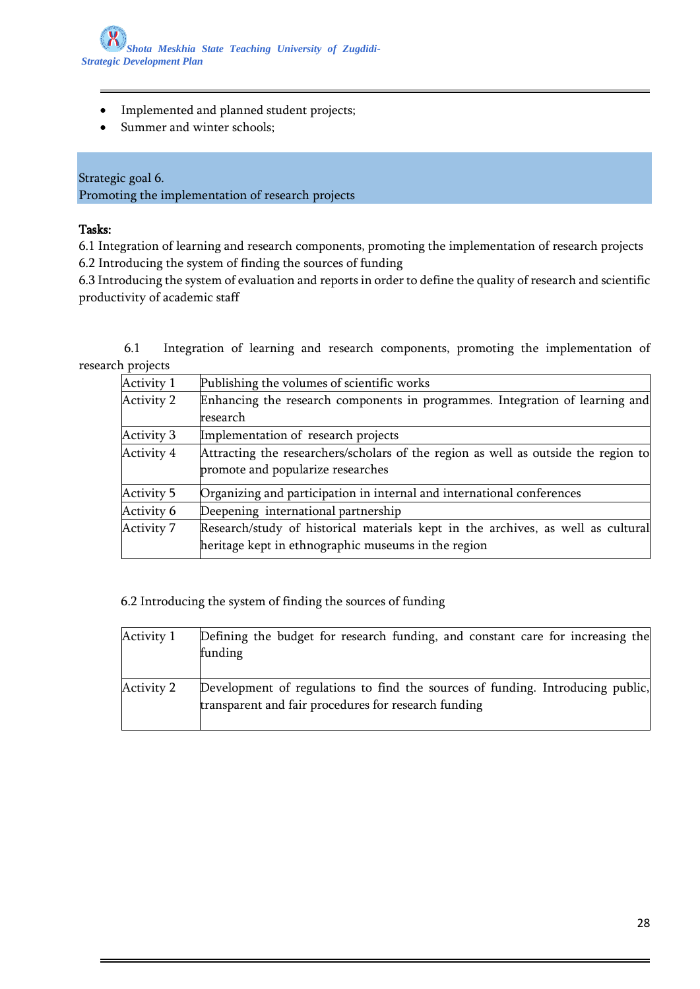- Implemented and planned student projects;
- Summer and winter schools;

Strategic goal 6. Promoting the implementation of research projects

### Tasks:

6.1 Integration of learning and research components, promoting the implementation of research projects 6.2 Introducing the system of finding the sources of funding

6.3 Introducing the system of evaluation and reports in order to define the quality of research and scientific productivity of academic staff

 6.1 Integration of learning and research components, promoting the implementation of research projects

| Activity 1        | Publishing the volumes of scientific works                                         |
|-------------------|------------------------------------------------------------------------------------|
| Activity 2        | Enhancing the research components in programmes. Integration of learning and       |
|                   | research                                                                           |
| <b>Activity 3</b> | Implementation of research projects                                                |
| Activity 4        | Attracting the researchers/scholars of the region as well as outside the region to |
|                   | promote and popularize researches                                                  |
| Activity 5        | Organizing and participation in internal and international conferences             |
| Activity 6        | Deepening international partnership                                                |
| Activity 7        | Research/study of historical materials kept in the archives, as well as cultural   |
|                   | heritage kept in ethnographic museums in the region                                |

6.2 Introducing the system of finding the sources of funding

| Activity 1 | Defining the budget for research funding, and constant care for increasing the<br>funding                                              |
|------------|----------------------------------------------------------------------------------------------------------------------------------------|
| Activity 2 | Development of regulations to find the sources of funding. Introducing public,<br>transparent and fair procedures for research funding |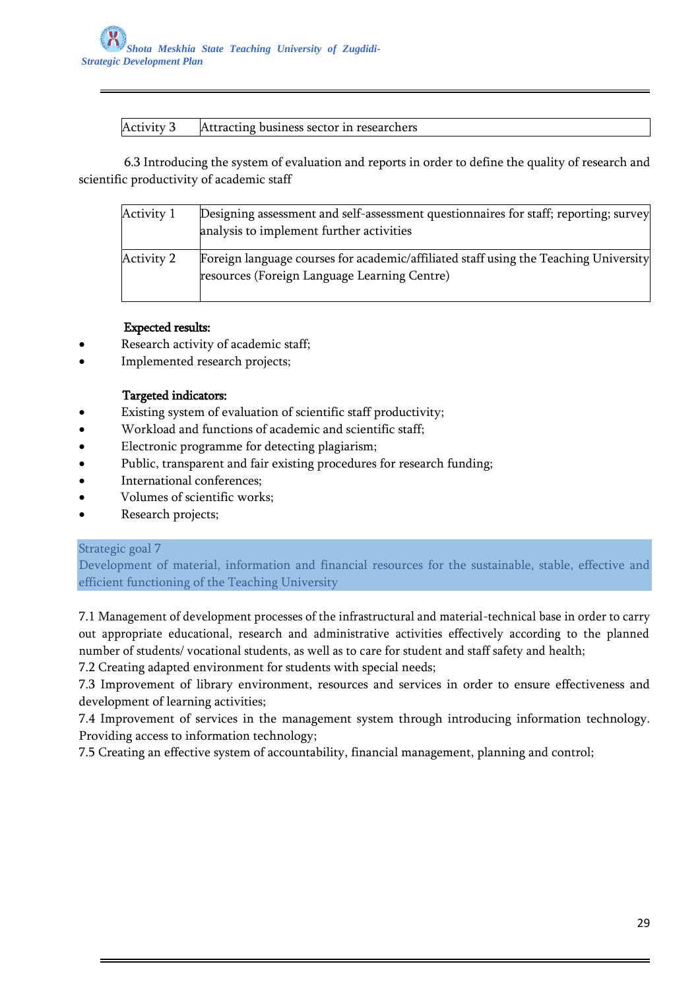## Activity 3 Attracting business sector in researchers

 6.3 Introducing the system of evaluation and reports in order to define the quality of research and scientific productivity of academic staff

| Activity 1        | Designing assessment and self-assessment questionnaires for staff; reporting; survey<br>analysis to implement further activities     |
|-------------------|--------------------------------------------------------------------------------------------------------------------------------------|
| <b>Activity 2</b> | Foreign language courses for academic/affiliated staff using the Teaching University<br>resources (Foreign Language Learning Centre) |

## Expected results:

- Research activity of academic staff;
- Implemented research projects;

## Targeted indicators:

- Existing system of evaluation of scientific staff productivity;
- Workload and functions of academic and scientific staff;
- Electronic programme for detecting plagiarism;
- Public, transparent and fair existing procedures for research funding;
- International conferences;
- Volumes of scientific works;
- Research projects;

### Strategic goal 7

Development of material, information and financial resources for the sustainable, stable, effective and efficient functioning of the Teaching University

7.1 Management of development processes of the infrastructural and material-technical base in order to carry out appropriate educational, research and administrative activities effectively according to the planned number of students/ vocational students, as well as to care for student and staff safety and health;

7.2 Creating adapted environment for students with special needs;

7.3 Improvement of library environment, resources and services in order to ensure effectiveness and development of learning activities;

7.4 Improvement of services in the management system through introducing information technology. Providing access to information technology;

7.5 Creating an effective system of accountability, financial management, planning and control;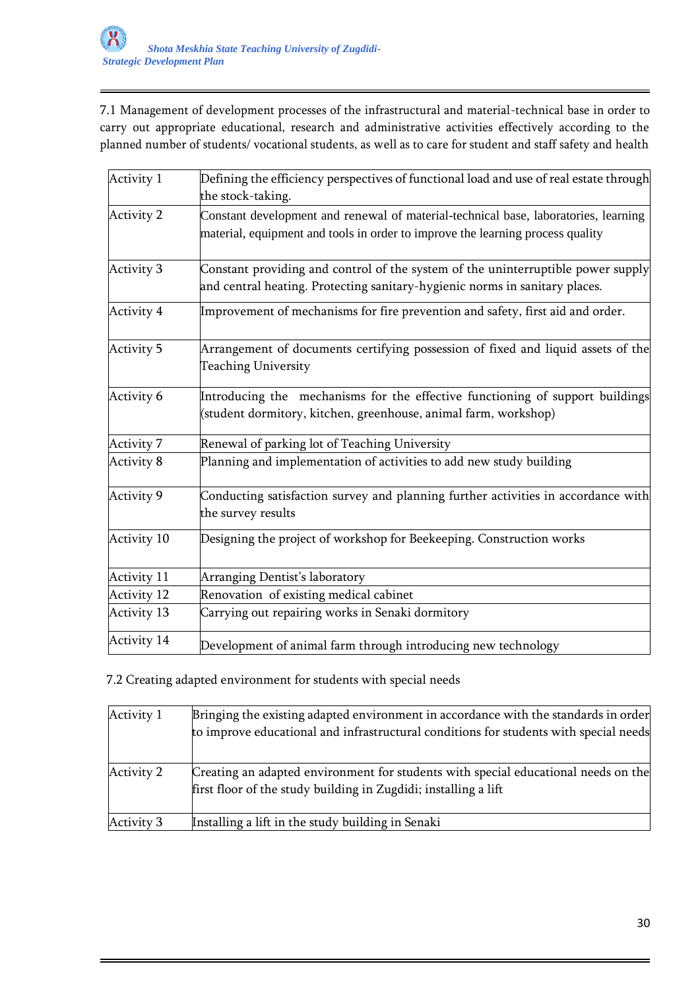7.1 Management of development processes of the infrastructural and material-technical base in order to carry out appropriate educational, research and administrative activities effectively according to the planned number of students/ vocational students, as well as to care for student and staff safety and health

| Activity 1        | Defining the efficiency perspectives of functional load and use of real estate through                                                                                |
|-------------------|-----------------------------------------------------------------------------------------------------------------------------------------------------------------------|
|                   | the stock-taking.                                                                                                                                                     |
| <b>Activity 2</b> | Constant development and renewal of material-technical base, laboratories, learning<br>material, equipment and tools in order to improve the learning process quality |
| <b>Activity 3</b> | Constant providing and control of the system of the uninterruptible power supply<br>and central heating. Protecting sanitary-hygienic norms in sanitary places.       |
| Activity 4        | Improvement of mechanisms for fire prevention and safety, first aid and order.                                                                                        |
| Activity 5        | Arrangement of documents certifying possession of fixed and liquid assets of the<br><b>Teaching University</b>                                                        |
| Activity 6        | Introducing the mechanisms for the effective functioning of support buildings<br>(student dormitory, kitchen, greenhouse, animal farm, workshop)                      |
| Activity 7        | Renewal of parking lot of Teaching University                                                                                                                         |
| Activity 8        | Planning and implementation of activities to add new study building                                                                                                   |
| <b>Activity 9</b> | Conducting satisfaction survey and planning further activities in accordance with<br>the survey results                                                               |
| Activity 10       | Designing the project of workshop for Beekeeping. Construction works                                                                                                  |
| Activity 11       | Arranging Dentist's laboratory                                                                                                                                        |
| Activity 12       | Renovation of existing medical cabinet                                                                                                                                |
| Activity 13       | Carrying out repairing works in Senaki dormitory                                                                                                                      |
| Activity 14       | Development of animal farm through introducing new technology                                                                                                         |

7.2 Creating adapted environment for students with special needs

| Activity 1        | Bringing the existing adapted environment in accordance with the standards in order<br>to improve educational and infrastructural conditions for students with special needs |
|-------------------|------------------------------------------------------------------------------------------------------------------------------------------------------------------------------|
| <b>Activity 2</b> | Creating an adapted environment for students with special educational needs on the<br>first floor of the study building in Zugdidi; installing a lift                        |
| <b>Activity 3</b> | Installing a lift in the study building in Senaki                                                                                                                            |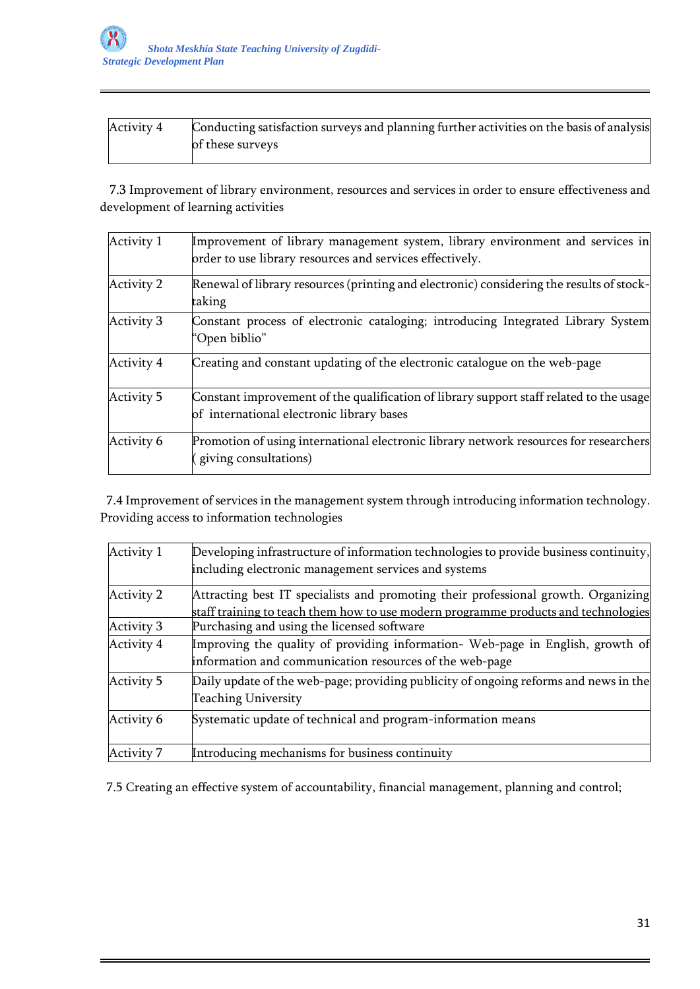| Activity 4 | Conducting satisfaction surveys and planning further activities on the basis of analysis |
|------------|------------------------------------------------------------------------------------------|
|            | of these surveys                                                                         |

 7.3 Improvement of library environment, resources and services in order to ensure effectiveness and development of learning activities

| Activity 1 | Improvement of library management system, library environment and services in<br>order to use library resources and services effectively. |
|------------|-------------------------------------------------------------------------------------------------------------------------------------------|
| Activity 2 | Renewal of library resources (printing and electronic) considering the results of stock-<br>taking                                        |
| Activity 3 | Constant process of electronic cataloging; introducing Integrated Library System<br>"Open biblio"                                         |
| Activity 4 | Creating and constant updating of the electronic catalogue on the web-page                                                                |
| Activity 5 | Constant improvement of the qualification of library support staff related to the usage<br>of international electronic library bases      |
| Activity 6 | Promotion of using international electronic library network resources for researchers<br>giving consultations)                            |

 7.4 Improvement of services in the management system through introducing information technology. Providing access to information technologies

| Activity 1 | Developing infrastructure of information technologies to provide business continuity,<br>including electronic management services and systems                            |
|------------|--------------------------------------------------------------------------------------------------------------------------------------------------------------------------|
| Activity 2 | Attracting best IT specialists and promoting their professional growth. Organizing<br>staff training to teach them how to use modern programme products and technologies |
| Activity 3 | Purchasing and using the licensed software                                                                                                                               |
| Activity 4 | Improving the quality of providing information- Web-page in English, growth of<br>information and communication resources of the web-page                                |
| Activity 5 | Daily update of the web-page; providing publicity of ongoing reforms and news in the<br><b>Teaching University</b>                                                       |
| Activity 6 | Systematic update of technical and program-information means                                                                                                             |
| Activity 7 | Introducing mechanisms for business continuity                                                                                                                           |

7.5 Creating an effective system of accountability, financial management, planning and control;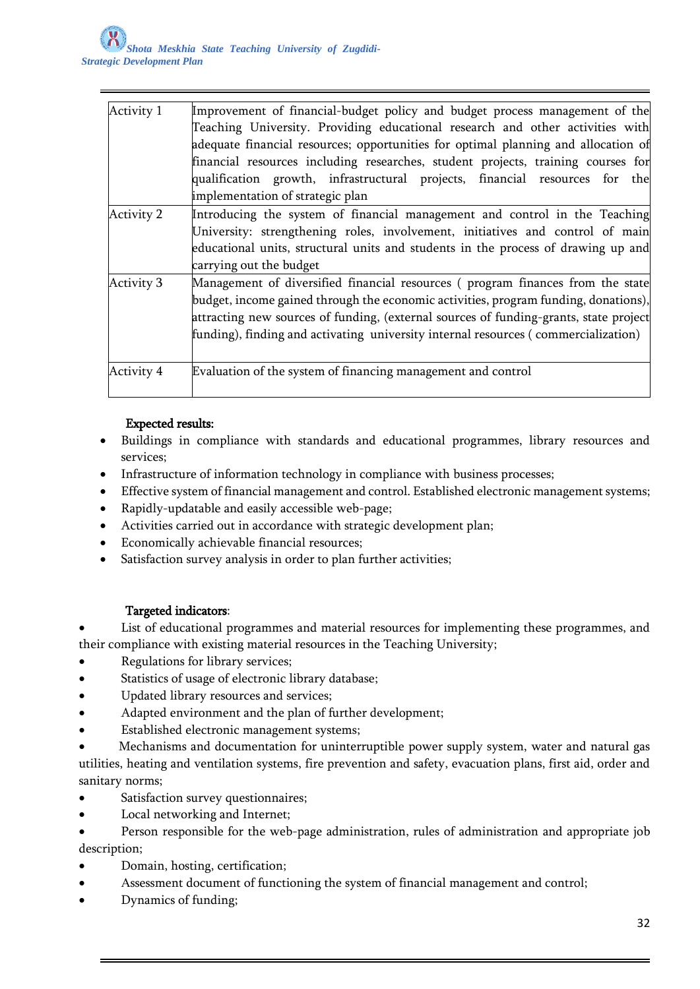| Activity 1        | Improvement of financial-budget policy and budget process management of the           |
|-------------------|---------------------------------------------------------------------------------------|
|                   | Teaching University. Providing educational research and other activities with         |
|                   | adequate financial resources; opportunities for optimal planning and allocation of    |
|                   | financial resources including researches, student projects, training courses for      |
|                   | qualification growth, infrastructural projects, financial resources for the           |
|                   | implementation of strategic plan                                                      |
| <b>Activity 2</b> | Introducing the system of financial management and control in the Teaching            |
|                   | University: strengthening roles, involvement, initiatives and control of main         |
|                   | educational units, structural units and students in the process of drawing up and     |
|                   | carrying out the budget                                                               |
| <b>Activity 3</b> | Management of diversified financial resources (program finances from the state        |
|                   | budget, income gained through the economic activities, program funding, donations),   |
|                   | attracting new sources of funding, (external sources of funding-grants, state project |
|                   | funding), finding and activating university internal resources (commercialization)    |
| <b>Activity 4</b> | Evaluation of the system of financing management and control                          |
|                   |                                                                                       |

# Expected results:

- Buildings in compliance with standards and educational programmes, library resources and services;
- Infrastructure of information technology in compliance with business processes;
- Effective system of financial management and control. Established electronic management systems;
- Rapidly-updatable and easily accessible web-page;
- Activities carried out in accordance with strategic development plan;
- Economically achievable financial resources;
- Satisfaction survey analysis in order to plan further activities;

### Targeted indicators:

 List of educational programmes and material resources for implementing these programmes, and their compliance with existing material resources in the Teaching University;

- Regulations for library services;
- Statistics of usage of electronic library database;
- Updated library resources and services;
- Adapted environment and the plan of further development;
- Established electronic management systems;

 Mechanisms and documentation for uninterruptible power supply system, water and natural gas utilities, heating and ventilation systems, fire prevention and safety, evacuation plans, first aid, order and sanitary norms;

- Satisfaction survey questionnaires;
- Local networking and Internet;
- Person responsible for the web-page administration, rules of administration and appropriate job description;
- Domain, hosting, certification;
- Assessment document of functioning the system of financial management and control;
- Dynamics of funding;